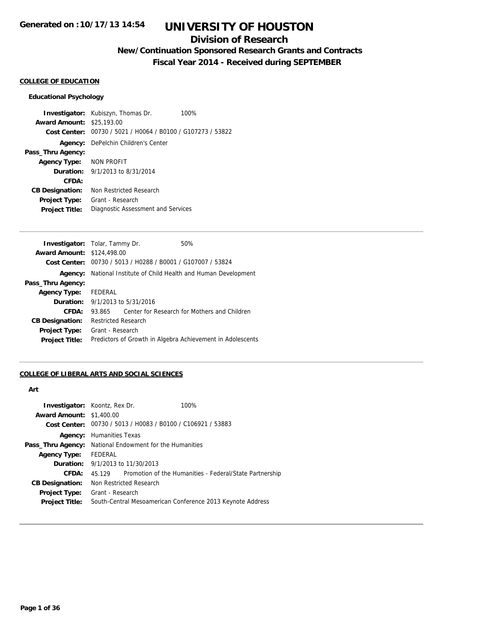### **Division of Research**

## **New/Continuation Sponsored Research Grants and Contracts**

**Fiscal Year 2014 - Received during SEPTEMBER**

### **COLLEGE OF EDUCATION**

#### **Educational Psychology**

**Investigator:** Kubiszyn, Thomas Dr. 100% **Award Amount:** \$25,193.00 **Cost Center:** 00730 / 5021 / H0064 / B0100 / G107273 / 53822 **Agency:** DePelchin Children's Center **Pass\_Thru Agency: Agency Type:** NON PROFIT **Duration:** 9/1/2013 to 8/31/2014 **CFDA: CB Designation:** Non Restricted Research **Project Type:** Grant - Research **Project Title:** Diagnostic Assessment and Services

| <b>Investigator:</b> Tolar, Tammy Dr. |                            |                                        | 50%                                                         |  |
|---------------------------------------|----------------------------|----------------------------------------|-------------------------------------------------------------|--|
| <b>Award Amount: \$124,498.00</b>     |                            |                                        |                                                             |  |
|                                       |                            |                                        | Cost Center: 00730 / 5013 / H0288 / B0001 / G107007 / 53824 |  |
| Agency:                               |                            |                                        | National Institute of Child Health and Human Development    |  |
| Pass_Thru Agency:                     |                            |                                        |                                                             |  |
| <b>Agency Type:</b>                   | FEDERAL                    |                                        |                                                             |  |
|                                       |                            | <b>Duration:</b> 9/1/2013 to 5/31/2016 |                                                             |  |
| CFDA:                                 | 93.865                     |                                        | Center for Research for Mothers and Children                |  |
| <b>CB Designation:</b>                | <b>Restricted Research</b> |                                        |                                                             |  |
| <b>Project Type:</b>                  | Grant - Research           |                                        |                                                             |  |
| <b>Project Title:</b>                 |                            |                                        | Predictors of Growth in Algebra Achievement in Adolescents  |  |
|                                       |                            |                                        |                                                             |  |

### **COLLEGE OF LIBERAL ARTS AND SOCIAL SCIENCES**

#### **Art**

|         |                                                                         | 100%                                                                                                                                                                                        |  |
|---------|-------------------------------------------------------------------------|---------------------------------------------------------------------------------------------------------------------------------------------------------------------------------------------|--|
|         |                                                                         |                                                                                                                                                                                             |  |
|         | <b>Cost Center:</b> $00730 / 5013 / 40083 / 80100 / 2106921 / 53883$    |                                                                                                                                                                                             |  |
|         |                                                                         |                                                                                                                                                                                             |  |
|         |                                                                         |                                                                                                                                                                                             |  |
| FEDERAL |                                                                         |                                                                                                                                                                                             |  |
|         |                                                                         |                                                                                                                                                                                             |  |
| 45.129  |                                                                         | Promotion of the Humanities - Federal/State Partnership                                                                                                                                     |  |
|         |                                                                         |                                                                                                                                                                                             |  |
|         |                                                                         |                                                                                                                                                                                             |  |
|         |                                                                         | South-Central Mesoamerican Conference 2013 Keynote Address                                                                                                                                  |  |
|         | <b>Investigator:</b> Koontz, Rex Dr.<br><b>Award Amount: \$1,400.00</b> | <b>Agency:</b> Humanities Texas<br><b>Pass_Thru Agency:</b> National Endowment for the Humanities<br><b>Duration:</b> 9/1/2013 to 11/30/2013<br>Non Restricted Research<br>Grant - Research |  |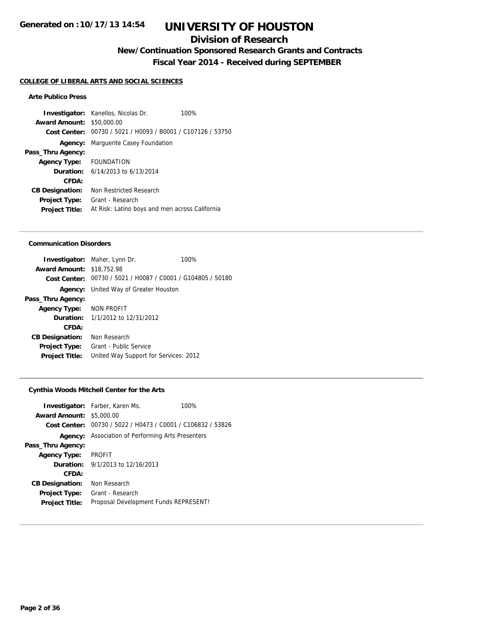### **Division of Research**

**New/Continuation Sponsored Research Grants and Contracts**

**Fiscal Year 2014 - Received during SEPTEMBER**

#### **COLLEGE OF LIBERAL ARTS AND SOCIAL SCIENCES**

### **Arte Publico Press**

**Investigator:** Kanellos, Nicolas Dr. 100% **Award Amount:** \$50,000.00 **Cost Center:** 00730 / 5021 / H0093 / B0001 / C107126 / 53750 **Agency:** Marguerite Casey Foundation **Pass\_Thru Agency: Agency Type:** FOUNDATION **Duration:** 6/14/2013 to 6/13/2014 **CFDA: CB Designation:** Non Restricted Research **Project Type:** Grant - Research **Project Title:** At Risk: Latino boys and men across California

#### **Communication Disorders**

|                                  | <b>Investigator:</b> Maher, Lynn Dr.                        | 100% |
|----------------------------------|-------------------------------------------------------------|------|
| <b>Award Amount: \$18,752.98</b> |                                                             |      |
|                                  | Cost Center: 00730 / 5021 / H0087 / C0001 / G104805 / 50180 |      |
|                                  | <b>Agency:</b> United Way of Greater Houston                |      |
| Pass_Thru Agency:                |                                                             |      |
| Agency Type: NON PROFIT          |                                                             |      |
|                                  | <b>Duration:</b> $1/1/2012$ to $12/31/2012$                 |      |
| CFDA:                            |                                                             |      |
| <b>CB Designation:</b>           | Non Research                                                |      |
| <b>Project Type:</b>             | Grant - Public Service                                      |      |
| <b>Project Title:</b>            | United Way Support for Services: 2012                       |      |
|                                  |                                                             |      |

#### **Cynthia Woods Mitchell Center for the Arts**

|                                 | <b>Investigator:</b> Farber, Karen Ms.                      | 100% |
|---------------------------------|-------------------------------------------------------------|------|
| <b>Award Amount: \$5,000.00</b> |                                                             |      |
|                                 | Cost Center: 00730 / 5022 / H0473 / C0001 / C106832 / 53826 |      |
|                                 | <b>Agency:</b> Association of Performing Arts Presenters    |      |
| Pass_Thru Agency:               |                                                             |      |
| <b>Agency Type:</b>             | <b>PROFIT</b>                                               |      |
|                                 | <b>Duration:</b> $9/1/2013$ to $12/16/2013$                 |      |
| CFDA:                           |                                                             |      |
| <b>CB Designation:</b>          | Non Research                                                |      |
| <b>Project Type:</b>            | Grant - Research                                            |      |
| <b>Project Title:</b>           | Proposal Development Funds REPRESENT!                       |      |
|                                 |                                                             |      |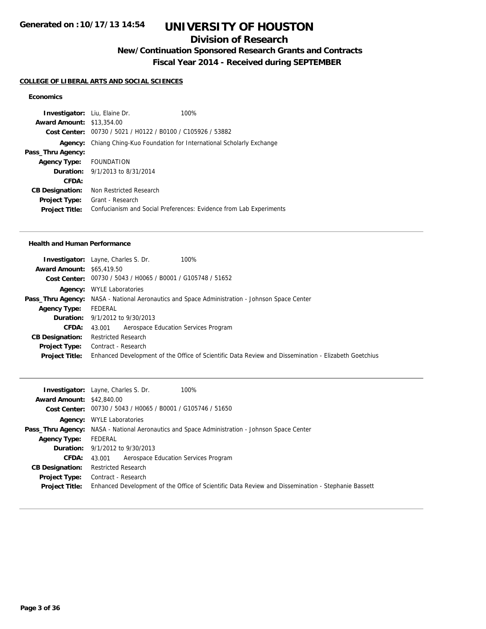## **Division of Research**

**New/Continuation Sponsored Research Grants and Contracts**

## **Fiscal Year 2014 - Received during SEPTEMBER**

### **COLLEGE OF LIBERAL ARTS AND SOCIAL SCIENCES**

### **Economics**

| <b>Investigator:</b> Liu, Elaine Dr. |                                                                  | 100%                                                               |
|--------------------------------------|------------------------------------------------------------------|--------------------------------------------------------------------|
| <b>Award Amount: \$13,354.00</b>     |                                                                  |                                                                    |
| Cost Center:                         | 00730 / 5021 / H0122 / B0100 / C105926 / 53882                   |                                                                    |
| Agency:                              | Chiang Ching-Kuo Foundation for International Scholarly Exchange |                                                                    |
| Pass_Thru Agency:                    |                                                                  |                                                                    |
| <b>Agency Type:</b>                  | FOUNDATION                                                       |                                                                    |
|                                      | <b>Duration:</b> 9/1/2013 to 8/31/2014                           |                                                                    |
| CFDA:                                |                                                                  |                                                                    |
| <b>CB Designation:</b>               | Non Restricted Research                                          |                                                                    |
| <b>Project Type:</b>                 | Grant - Research                                                 |                                                                    |
| <b>Project Title:</b>                |                                                                  | Confucianism and Social Preferences: Evidence from Lab Experiments |

#### **Health and Human Performance**

|                                  | 100%<br><b>Investigator:</b> Layne, Charles S. Dr.                                                   |
|----------------------------------|------------------------------------------------------------------------------------------------------|
| <b>Award Amount: \$65,419.50</b> |                                                                                                      |
|                                  | Cost Center: 00730 / 5043 / H0065 / B0001 / G105748 / 51652                                          |
|                                  | <b>Agency:</b> WYLE Laboratories                                                                     |
|                                  | <b>Pass_Thru Agency:</b> NASA - National Aeronautics and Space Administration - Johnson Space Center |
| <b>Agency Type:</b>              | FEDERAL                                                                                              |
|                                  | <b>Duration:</b> 9/1/2012 to 9/30/2013                                                               |
|                                  | <b>CFDA:</b> 43,001 Aerospace Education Services Program                                             |
| <b>CB Designation:</b>           | <b>Restricted Research</b>                                                                           |
|                                  | <b>Project Type:</b> Contract - Research                                                             |
| <b>Project Title:</b>            | Enhanced Development of the Office of Scientific Data Review and Dissemination - Elizabeth Goetchius |
|                                  |                                                                                                      |

|                                  | <b>Investigator:</b> Layne, Charles S. Dr.<br>100%                                                   |
|----------------------------------|------------------------------------------------------------------------------------------------------|
| <b>Award Amount: \$42,840.00</b> |                                                                                                      |
|                                  | Cost Center: 00730 / 5043 / H0065 / B0001 / G105746 / 51650                                          |
|                                  | <b>Agency:</b> WYLE Laboratories                                                                     |
|                                  | <b>Pass_Thru Agency:</b> NASA - National Aeronautics and Space Administration - Johnson Space Center |
| <b>Agency Type:</b>              | FEDERAL                                                                                              |
|                                  | <b>Duration:</b> 9/1/2012 to 9/30/2013                                                               |
| CFDA:                            | Aerospace Education Services Program<br>43.001                                                       |
| <b>CB Designation:</b>           | <b>Restricted Research</b>                                                                           |
| Project Type:                    | Contract - Research                                                                                  |
| <b>Project Title:</b>            | Enhanced Development of the Office of Scientific Data Review and Dissemination - Stephanie Bassett   |
|                                  |                                                                                                      |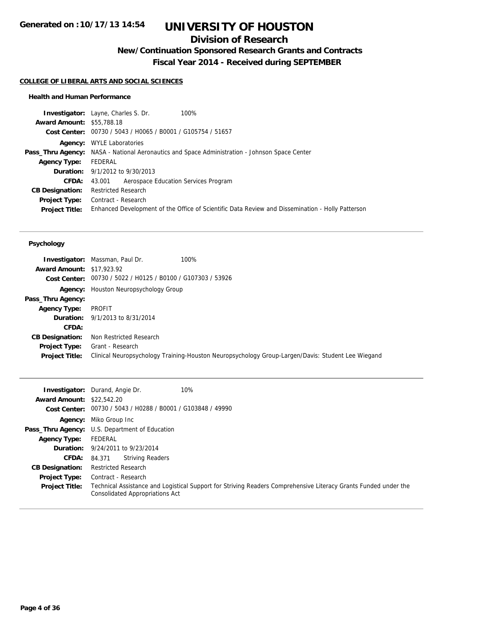## **Division of Research**

**New/Continuation Sponsored Research Grants and Contracts**

**Fiscal Year 2014 - Received during SEPTEMBER**

#### **COLLEGE OF LIBERAL ARTS AND SOCIAL SCIENCES**

#### **Health and Human Performance**

|                                  | <b>Investigator:</b> Layne, Charles S. Dr.<br>100%                                                   |
|----------------------------------|------------------------------------------------------------------------------------------------------|
| <b>Award Amount: \$55,788.18</b> |                                                                                                      |
|                                  | Cost Center: 00730 / 5043 / H0065 / B0001 / G105754 / 51657                                          |
|                                  | <b>Agency:</b> WYLE Laboratories                                                                     |
|                                  | <b>Pass_Thru Agency:</b> NASA - National Aeronautics and Space Administration - Johnson Space Center |
| <b>Agency Type:</b>              | FEDERAL                                                                                              |
|                                  | <b>Duration:</b> 9/1/2012 to 9/30/2013                                                               |
| <b>CFDA:</b>                     | 43.001 Aerospace Education Services Program                                                          |
| <b>CB Designation:</b>           | <b>Restricted Research</b>                                                                           |
| <b>Project Type:</b>             | Contract - Research                                                                                  |
| <b>Project Title:</b>            | Enhanced Development of the Office of Scientific Data Review and Dissemination - Holly Patterson     |
|                                  |                                                                                                      |

#### **Psychology**

|                                  | <b>Investigator:</b> Massman, Paul Dr.<br>100%                                                    |
|----------------------------------|---------------------------------------------------------------------------------------------------|
| <b>Award Amount: \$17,923.92</b> |                                                                                                   |
|                                  | Cost Center: 00730 / 5022 / H0125 / B0100 / G107303 / 53926                                       |
|                                  | <b>Agency:</b> Houston Neuropsychology Group                                                      |
| Pass_Thru Agency:                |                                                                                                   |
| <b>Agency Type:</b>              | PROFIT                                                                                            |
|                                  | <b>Duration:</b> 9/1/2013 to 8/31/2014                                                            |
| CFDA:                            |                                                                                                   |
| <b>CB Designation:</b>           | Non Restricted Research                                                                           |
| <b>Project Type:</b>             | Grant - Research                                                                                  |
| <b>Project Title:</b>            | Clinical Neuropsychology Training-Houston Neuropsychology Group-Largen/Davis: Student Lee Wiegand |
|                                  |                                                                                                   |

|                                  | <b>Investigator:</b> Durand, Angie Dr.                      | 10%                                                                                                             |
|----------------------------------|-------------------------------------------------------------|-----------------------------------------------------------------------------------------------------------------|
| <b>Award Amount: \$22.542.20</b> |                                                             |                                                                                                                 |
|                                  | Cost Center: 00730 / 5043 / H0288 / B0001 / G103848 / 49990 |                                                                                                                 |
|                                  | <b>Agency:</b> Miko Group Inc                               |                                                                                                                 |
|                                  | <b>Pass_Thru Agency:</b> U.S. Department of Education       |                                                                                                                 |
| <b>Agency Type:</b>              | FEDERAL                                                     |                                                                                                                 |
|                                  | <b>Duration:</b> 9/24/2011 to 9/23/2014                     |                                                                                                                 |
| <b>CFDA:</b>                     | <b>Striving Readers</b><br>84.371                           |                                                                                                                 |
| <b>CB Designation:</b>           | <b>Restricted Research</b>                                  |                                                                                                                 |
| <b>Project Type:</b>             | Contract - Research                                         |                                                                                                                 |
| <b>Project Title:</b>            | Consolidated Appropriations Act                             | Technical Assistance and Logistical Support for Striving Readers Comprehensive Literacy Grants Funded under the |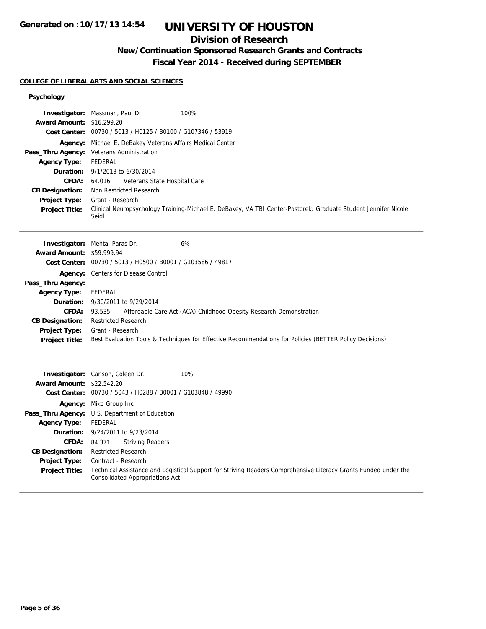## **Division of Research**

## **New/Continuation Sponsored Research Grants and Contracts**

**Fiscal Year 2014 - Received during SEPTEMBER**

#### **COLLEGE OF LIBERAL ARTS AND SOCIAL SCIENCES**

**Agency:** Miko Group Inc **Pass\_Thru Agency:** U.S. Department of Education

> **Duration:** 9/24/2011 to 9/23/2014 **CFDA:** 84.371 Striving Readers

> > Consolidated Appropriations Act

**Agency Type:** FEDERAL

**CB Designation:** Restricted Research **Project Type:** Contract - Research

#### **Psychology**

|                                  | <b>Investigator:</b> Massman, Paul Dr.<br>100%                                                                 |
|----------------------------------|----------------------------------------------------------------------------------------------------------------|
| <b>Award Amount: \$16,299.20</b> |                                                                                                                |
|                                  | Cost Center: 00730 / 5013 / H0125 / B0100 / G107346 / 53919                                                    |
|                                  | Agency: Michael E. DeBakey Veterans Affairs Medical Center                                                     |
| Pass_Thru Agency:                | Veterans Administration                                                                                        |
| <b>Agency Type:</b>              | <b>FEDERAL</b>                                                                                                 |
| Duration:                        | 9/1/2013 to 6/30/2014                                                                                          |
| <b>CFDA:</b>                     | Veterans State Hospital Care<br>64.016                                                                         |
| <b>CB Designation:</b>           | Non Restricted Research                                                                                        |
| Project Type:                    | Grant - Research                                                                                               |
| <b>Project Title:</b>            | Clinical Neuropsychology Training-Michael E. DeBakey, VA TBI Center-Pastorek: Graduate Student Jennifer Nicole |
|                                  | Seidl                                                                                                          |
|                                  |                                                                                                                |
|                                  | 6%<br><b>Investigator:</b> Mehta, Paras Dr.                                                                    |
| <b>Award Amount:</b>             | \$59,999.94                                                                                                    |
|                                  | Cost Center: 00730 / 5013 / H0500 / B0001 / G103586 / 49817                                                    |
| Agency:                          | Centers for Disease Control                                                                                    |
| Pass_Thru Agency:                |                                                                                                                |
| <b>Agency Type:</b>              | <b>FEDERAL</b>                                                                                                 |
| Duration:                        | 9/30/2011 to 9/29/2014                                                                                         |
| <b>CFDA:</b>                     | Affordable Care Act (ACA) Childhood Obesity Research Demonstration<br>93.535                                   |
| <b>CB Designation:</b>           | <b>Restricted Research</b>                                                                                     |
| Project Type:                    | Grant - Research                                                                                               |
| <b>Project Title:</b>            | Best Evaluation Tools & Techniques for Effective Recommendations for Policies (BETTER Policy Decisions)        |
|                                  |                                                                                                                |
|                                  | 10%<br>Investigator: Carlson, Coleen Dr.                                                                       |
| <b>Award Amount: \$22,542.20</b> |                                                                                                                |
|                                  | Cost Center: 00730 / 5043 / H0288 / B0001 / G103848 / 49990                                                    |
|                                  |                                                                                                                |

**Project Title:** Technical Assistance and Logistical Support for Striving Readers Comprehensive Literacy Grants Funded under the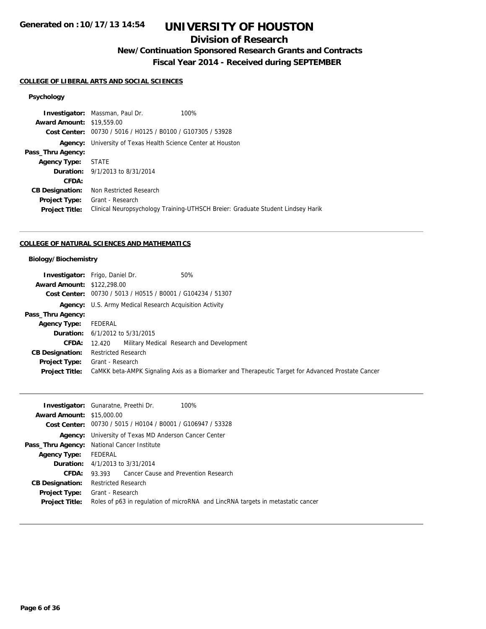## **Division of Research**

## **New/Continuation Sponsored Research Grants and Contracts**

**Fiscal Year 2014 - Received during SEPTEMBER**

#### **COLLEGE OF LIBERAL ARTS AND SOCIAL SCIENCES**

### **Psychology**

|                                  | <b>Investigator:</b> Massman, Paul Dr.<br>100%                                  |  |
|----------------------------------|---------------------------------------------------------------------------------|--|
| <b>Award Amount: \$19,559.00</b> |                                                                                 |  |
|                                  | Cost Center: 00730 / 5016 / H0125 / B0100 / G107305 / 53928                     |  |
| Agency:                          | University of Texas Health Science Center at Houston                            |  |
| Pass_Thru Agency:                |                                                                                 |  |
| <b>Agency Type:</b>              | STATE                                                                           |  |
|                                  | <b>Duration:</b> 9/1/2013 to 8/31/2014                                          |  |
| CFDA:                            |                                                                                 |  |
| <b>CB Designation:</b>           | Non Restricted Research                                                         |  |
| Project Type:                    | Grant - Research                                                                |  |
| <b>Project Title:</b>            | Clinical Neuropsychology Training-UTHSCH Breier: Graduate Student Lindsey Harik |  |
|                                  |                                                                                 |  |

### **COLLEGE OF NATURAL SCIENCES AND MATHEMATICS**

### **Biology/Biochemistry**

|                                   | <b>Investigator:</b> Frigo, Daniel Dr.<br>50%                                                     |  |
|-----------------------------------|---------------------------------------------------------------------------------------------------|--|
| <b>Award Amount: \$122,298.00</b> |                                                                                                   |  |
|                                   | Cost Center: 00730 / 5013 / H0515 / B0001 / G104234 / 51307                                       |  |
|                                   | <b>Agency:</b> U.S. Army Medical Research Acquisition Activity                                    |  |
| Pass_Thru Agency:                 |                                                                                                   |  |
| <b>Agency Type:</b>               | FEDERAL                                                                                           |  |
|                                   | <b>Duration:</b> $6/1/2012$ to $5/31/2015$                                                        |  |
| <b>CFDA:</b>                      | 12.420 Military Medical Research and Development                                                  |  |
| <b>CB Designation:</b>            | <b>Restricted Research</b>                                                                        |  |
| <b>Project Type:</b>              | Grant - Research                                                                                  |  |
| <b>Project Title:</b>             | CaMKK beta-AMPK Signaling Axis as a Biomarker and Therapeutic Target for Advanced Prostate Cancer |  |

|                                  | 100%<br><b>Investigator:</b> Gunaratne, Preethi Dr.                             |  |
|----------------------------------|---------------------------------------------------------------------------------|--|
| <b>Award Amount: \$15,000.00</b> |                                                                                 |  |
|                                  | <b>Cost Center:</b> $00730 / 5015 / 40104 / 80001 / 6106947 / 53328$            |  |
|                                  | <b>Agency:</b> University of Texas MD Anderson Cancer Center                    |  |
|                                  | Pass_Thru Agency: National Cancer Institute                                     |  |
| <b>Agency Type:</b>              | FEDERAL                                                                         |  |
|                                  | <b>Duration:</b> $4/1/2013$ to $3/31/2014$                                      |  |
| CFDA:                            | 93.393 Cancer Cause and Prevention Research                                     |  |
| <b>CB Designation:</b>           | <b>Restricted Research</b>                                                      |  |
| <b>Project Type:</b>             | Grant - Research                                                                |  |
| <b>Project Title:</b>            | Roles of p63 in regulation of microRNA and LincRNA targets in metastatic cancer |  |
|                                  |                                                                                 |  |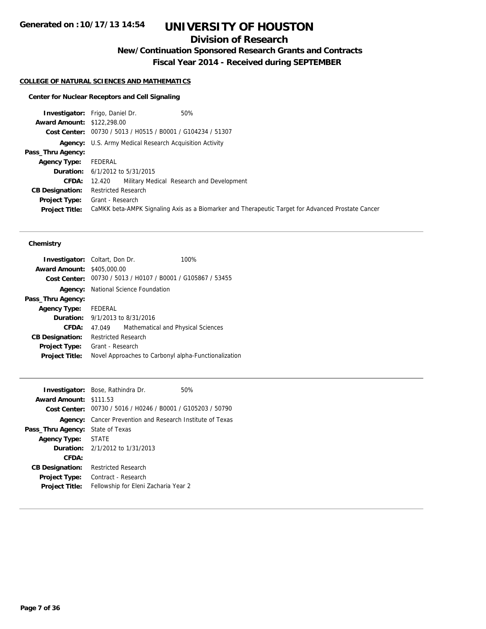## **Division of Research**

**New/Continuation Sponsored Research Grants and Contracts**

**Fiscal Year 2014 - Received during SEPTEMBER**

### **COLLEGE OF NATURAL SCIENCES AND MATHEMATICS**

### **Center for Nuclear Receptors and Cell Signaling**

|                                   | <b>Investigator:</b> Frigo, Daniel Dr.<br>50%                                                     |  |
|-----------------------------------|---------------------------------------------------------------------------------------------------|--|
| <b>Award Amount: \$122,298.00</b> |                                                                                                   |  |
|                                   | Cost Center: 00730 / 5013 / H0515 / B0001 / G104234 / 51307                                       |  |
|                                   | <b>Agency:</b> U.S. Army Medical Research Acquisition Activity                                    |  |
| Pass_Thru Agency:                 |                                                                                                   |  |
| <b>Agency Type:</b>               | FEDERAL                                                                                           |  |
|                                   | <b>Duration:</b> $6/1/2012$ to $5/31/2015$                                                        |  |
|                                   | <b>CFDA:</b> 12.420 Military Medical Research and Development                                     |  |
| <b>CB Designation:</b>            | <b>Restricted Research</b>                                                                        |  |
|                                   | <b>Project Type:</b> Grant - Research                                                             |  |
| <b>Project Title:</b>             | CaMKK beta-AMPK Signaling Axis as a Biomarker and Therapeutic Target for Advanced Prostate Cancer |  |

#### **Chemistry**

|                                   | <b>Investigator:</b> Coltart, Don Dr.      | 100%                                                        |
|-----------------------------------|--------------------------------------------|-------------------------------------------------------------|
| <b>Award Amount: \$405,000.00</b> |                                            |                                                             |
|                                   |                                            | Cost Center: 00730 / 5013 / H0107 / B0001 / G105867 / 53455 |
| Agency:                           | National Science Foundation                |                                                             |
| Pass_Thru Agency:                 |                                            |                                                             |
| <b>Agency Type:</b>               | FEDERAL                                    |                                                             |
|                                   | <b>Duration:</b> $9/1/2013$ to $8/31/2016$ |                                                             |
| CFDA:                             | 47.049                                     | Mathematical and Physical Sciences                          |
| <b>CB Designation:</b>            | <b>Restricted Research</b>                 |                                                             |
| <b>Project Type:</b>              | Grant - Research                           |                                                             |
| <b>Project Title:</b>             |                                            | Novel Approaches to Carbonyl alpha-Functionalization        |
|                                   |                                            |                                                             |

|                               | <b>Investigator:</b> Bose, Rathindra Dr.                             | 50% |
|-------------------------------|----------------------------------------------------------------------|-----|
| <b>Award Amount: \$111.53</b> |                                                                      |     |
|                               | <b>Cost Center:</b> $00730 / 5016 / 40246 / 80001 / 6105203 / 50790$ |     |
| Agency:                       | Cancer Prevention and Research Institute of Texas                    |     |
| Pass_Thru Agency:             | State of Texas                                                       |     |
| <b>Agency Type:</b>           | <b>STATE</b>                                                         |     |
|                               | <b>Duration:</b> $2/1/2012$ to $1/31/2013$                           |     |
| CFDA:                         |                                                                      |     |
| <b>CB Designation:</b>        | <b>Restricted Research</b>                                           |     |
| <b>Project Type:</b>          | Contract - Research                                                  |     |
| <b>Project Title:</b>         | Fellowship for Eleni Zacharia Year 2                                 |     |
|                               |                                                                      |     |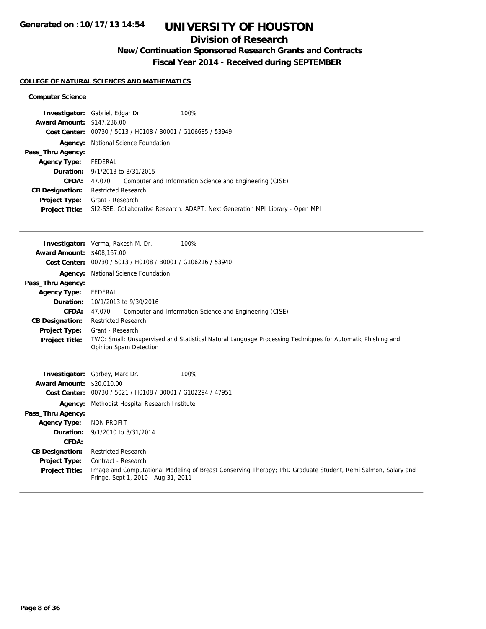## **Division of Research**

## **New/Continuation Sponsored Research Grants and Contracts**

**Fiscal Year 2014 - Received during SEPTEMBER**

### **COLLEGE OF NATURAL SCIENCES AND MATHEMATICS**

#### **Computer Science**

| <b>Investigator:</b> Gabriel, Edgar Dr. |                             |                                                             | 100%                                                                           |
|-----------------------------------------|-----------------------------|-------------------------------------------------------------|--------------------------------------------------------------------------------|
| <b>Award Amount: \$147,236.00</b>       |                             |                                                             |                                                                                |
|                                         |                             | Cost Center: 00730 / 5013 / H0108 / B0001 / G106685 / 53949 |                                                                                |
| Agency:                                 | National Science Foundation |                                                             |                                                                                |
| Pass_Thru Agency:                       |                             |                                                             |                                                                                |
| <b>Agency Type:</b>                     | FEDERAL                     |                                                             |                                                                                |
| <b>Duration:</b> 9/1/2013 to 8/31/2015  |                             |                                                             |                                                                                |
| <b>CFDA:</b>                            | 47.070                      |                                                             | Computer and Information Science and Engineering (CISE)                        |
| <b>CB Designation:</b>                  | <b>Restricted Research</b>  |                                                             |                                                                                |
| <b>Project Type:</b>                    | Grant - Research            |                                                             |                                                                                |
| <b>Project Title:</b>                   |                             |                                                             | SI2-SSE: Collaborative Research: ADAPT: Next Generation MPI Library - Open MPI |

|                                   | <b>Investigator:</b> Verma, Rakesh M. Dr.<br>100%                                                                                    |  |  |
|-----------------------------------|--------------------------------------------------------------------------------------------------------------------------------------|--|--|
| <b>Award Amount: \$408,167.00</b> |                                                                                                                                      |  |  |
|                                   | Cost Center: 00730 / 5013 / H0108 / B0001 / G106216 / 53940                                                                          |  |  |
| Agency:                           | National Science Foundation                                                                                                          |  |  |
| Pass_Thru Agency:                 |                                                                                                                                      |  |  |
| <b>Agency Type:</b>               | FEDERAL                                                                                                                              |  |  |
| Duration:                         | 10/1/2013 to 9/30/2016                                                                                                               |  |  |
| CFDA:                             | Computer and Information Science and Engineering (CISE)<br>47.070                                                                    |  |  |
| <b>CB Designation:</b>            | <b>Restricted Research</b>                                                                                                           |  |  |
| <b>Project Type:</b>              | Grant - Research                                                                                                                     |  |  |
| <b>Project Title:</b>             | TWC: Small: Unsupervised and Statistical Natural Language Processing Techniques for Automatic Phishing and<br>Opinion Spam Detection |  |  |
|                                   |                                                                                                                                      |  |  |
|                                   |                                                                                                                                      |  |  |
|                                   |                                                                                                                                      |  |  |
| Investigator:                     | Garbey, Marc Dr.<br>100%                                                                                                             |  |  |
| <b>Award Amount:</b>              | \$20,010.00                                                                                                                          |  |  |
| <b>Cost Center:</b>               | 00730 / 5021 / H0108 / B0001 / G102294 / 47951                                                                                       |  |  |
| Agency:                           | Methodist Hospital Research Institute                                                                                                |  |  |
| Pass_Thru Agency:                 |                                                                                                                                      |  |  |
| <b>Agency Type:</b>               | NON PROFIT                                                                                                                           |  |  |
| Duration:                         | 9/1/2010 to 8/31/2014                                                                                                                |  |  |
| CFDA:                             |                                                                                                                                      |  |  |
| <b>CB Designation:</b>            | <b>Restricted Research</b>                                                                                                           |  |  |
| <b>Project Type:</b>              | Contract - Research                                                                                                                  |  |  |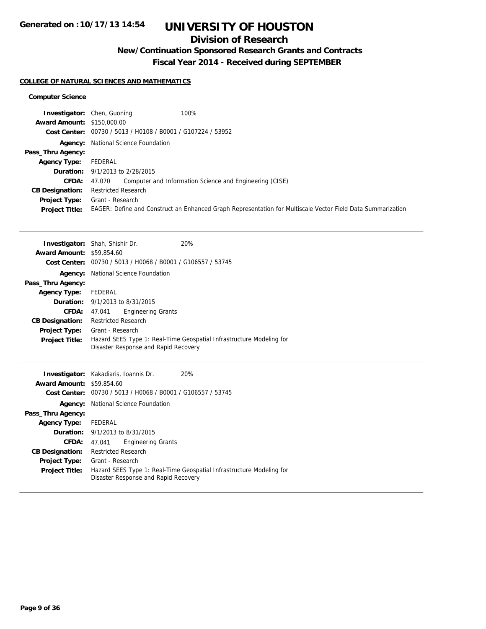## **Division of Research**

## **New/Continuation Sponsored Research Grants and Contracts**

**Fiscal Year 2014 - Received during SEPTEMBER**

### **COLLEGE OF NATURAL SCIENCES AND MATHEMATICS**

#### **Computer Science**

|                                   | 100%<br><b>Investigator:</b> Chen, Guoning                                                                  |  |
|-----------------------------------|-------------------------------------------------------------------------------------------------------------|--|
| <b>Award Amount: \$150,000.00</b> |                                                                                                             |  |
|                                   | Cost Center: 00730 / 5013 / H0108 / B0001 / G107224 / 53952                                                 |  |
|                                   | <b>Agency:</b> National Science Foundation                                                                  |  |
| Pass_Thru Agency:                 |                                                                                                             |  |
| <b>Agency Type:</b>               | FEDERAL                                                                                                     |  |
|                                   | <b>Duration:</b> 9/1/2013 to 2/28/2015                                                                      |  |
| <b>CFDA:</b>                      | Computer and Information Science and Engineering (CISE)<br>47.070                                           |  |
| <b>CB Designation:</b>            | <b>Restricted Research</b>                                                                                  |  |
| Project Type:                     | Grant - Research                                                                                            |  |
| <b>Project Title:</b>             | EAGER: Define and Construct an Enhanced Graph Representation for Multiscale Vector Field Data Summarization |  |

|                                  | <b>Investigator:</b> Shah, Shishir Dr.                               | <b>20%</b> |  |
|----------------------------------|----------------------------------------------------------------------|------------|--|
| <b>Award Amount: \$59,854.60</b> |                                                                      |            |  |
|                                  | Cost Center: 00730 / 5013 / H0068 / B0001 / G106557 / 53745          |            |  |
| Agency:                          | National Science Foundation                                          |            |  |
| Pass_Thru Agency:                |                                                                      |            |  |
| <b>Agency Type:</b>              | FEDERAL                                                              |            |  |
|                                  | <b>Duration:</b> 9/1/2013 to 8/31/2015                               |            |  |
| <b>CFDA:</b>                     | <b>Engineering Grants</b><br>47.041                                  |            |  |
| <b>CB Designation:</b>           | <b>Restricted Research</b>                                           |            |  |
| Project Type:                    | Grant - Research                                                     |            |  |
| <b>Project Title:</b>            | Hazard SEES Type 1: Real-Time Geospatial Infrastructure Modeling for |            |  |
|                                  | Disaster Response and Rapid Recovery                                 |            |  |
|                                  |                                                                      |            |  |
|                                  | <b>Investigator:</b> Kakadiaris, Ioannis Dr.                         | <b>20%</b> |  |
| <b>Award Amount: \$59,854.60</b> |                                                                      |            |  |
| <b>Cost Center:</b>              | 00730 / 5013 / H0068 / B0001 / G106557 / 53745                       |            |  |

|                        | Cost Center: 00730 / 5013 / H0068 / B0001 / G106557 / 53745                                                  |  |
|------------------------|--------------------------------------------------------------------------------------------------------------|--|
| Agency:                | National Science Foundation                                                                                  |  |
| Pass_Thru Agency:      |                                                                                                              |  |
| Agency Type: FEDERAL   |                                                                                                              |  |
|                        | <b>Duration:</b> 9/1/2013 to 8/31/2015                                                                       |  |
|                        | <b>Engineering Grants</b><br>CFDA: 47.041                                                                    |  |
| <b>CB Designation:</b> | Restricted Research                                                                                          |  |
| Project Type:          | Grant - Research                                                                                             |  |
| <b>Project Title:</b>  | Hazard SEES Type 1: Real-Time Geospatial Infrastructure Modeling for<br>Disaster Response and Rapid Recovery |  |
|                        |                                                                                                              |  |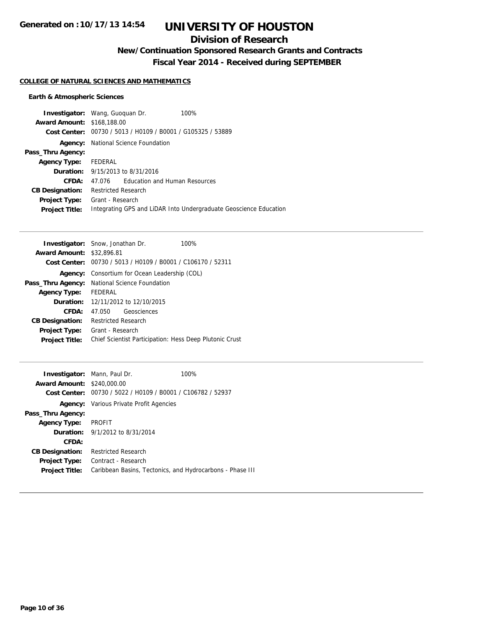## **Division of Research**

**New/Continuation Sponsored Research Grants and Contracts**

**Fiscal Year 2014 - Received during SEPTEMBER**

### **COLLEGE OF NATURAL SCIENCES AND MATHEMATICS**

### **Earth & Atmospheric Sciences**

|                                   | <b>Investigator:</b> Wang, Guoguan Dr.<br>100%                    |
|-----------------------------------|-------------------------------------------------------------------|
| <b>Award Amount: \$168,188.00</b> |                                                                   |
|                                   | Cost Center: 00730 / 5013 / H0109 / B0001 / G105325 / 53889       |
|                                   | <b>Agency:</b> National Science Foundation                        |
| Pass_Thru Agency:                 |                                                                   |
| <b>Agency Type:</b>               | FEDERAL                                                           |
|                                   | <b>Duration:</b> 9/15/2013 to 8/31/2016                           |
| CFDA:                             | <b>Education and Human Resources</b><br>47 076                    |
| <b>CB Designation:</b>            | <b>Restricted Research</b>                                        |
| <b>Project Type:</b>              | Grant - Research                                                  |
| <b>Project Title:</b>             | Integrating GPS and LiDAR Into Undergraduate Geoscience Education |

| <b>Investigator:</b> Snow, Jonathan Dr.<br>100%             |  |
|-------------------------------------------------------------|--|
| <b>Award Amount: \$32,896.81</b>                            |  |
| Cost Center: 00730 / 5013 / H0109 / B0001 / C106170 / 52311 |  |
| <b>Agency:</b> Consortium for Ocean Leadership (COL)        |  |
| Pass_Thru Agency: National Science Foundation               |  |
| FEDERAL                                                     |  |
| <b>Duration:</b> 12/11/2012 to 12/10/2015                   |  |
| Geosciences<br>47.050                                       |  |
| <b>Restricted Research</b>                                  |  |
| Grant - Research                                            |  |
| Chief Scientist Participation: Hess Deep Plutonic Crust     |  |
|                                                             |  |

| <b>Award Amount:</b>   | <b>Investigator:</b> Mann, Paul Dr.<br>\$240,000.00         | 100% |
|------------------------|-------------------------------------------------------------|------|
|                        | Cost Center: 00730 / 5022 / H0109 / B0001 / C106782 / 52937 |      |
|                        | <b>Agency:</b> Various Private Profit Agencies              |      |
| Pass_Thru Agency:      |                                                             |      |
| <b>Agency Type:</b>    | <b>PROFIT</b>                                               |      |
|                        | <b>Duration:</b> 9/1/2012 to 8/31/2014                      |      |
| CFDA:                  |                                                             |      |
| <b>CB Designation:</b> | <b>Restricted Research</b>                                  |      |
| Project Type:          | Contract - Research                                         |      |
| <b>Project Title:</b>  | Caribbean Basins, Tectonics, and Hydrocarbons - Phase III   |      |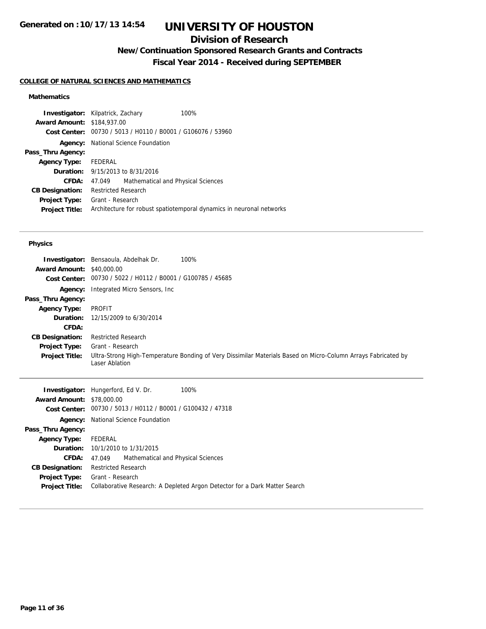## **Division of Research**

**New/Continuation Sponsored Research Grants and Contracts**

**Fiscal Year 2014 - Received during SEPTEMBER**

### **COLLEGE OF NATURAL SCIENCES AND MATHEMATICS**

### **Mathematics**

|                                   | <b>Investigator:</b> Kilpatrick, Zachary                    | 100%                                                                 |
|-----------------------------------|-------------------------------------------------------------|----------------------------------------------------------------------|
| <b>Award Amount: \$184,937.00</b> |                                                             |                                                                      |
|                                   | Cost Center: 00730 / 5013 / H0110 / B0001 / G106076 / 53960 |                                                                      |
| Agency:                           | National Science Foundation                                 |                                                                      |
| Pass_Thru Agency:                 |                                                             |                                                                      |
| Agency Type:                      | FEDERAL                                                     |                                                                      |
|                                   | <b>Duration:</b> 9/15/2013 to 8/31/2016                     |                                                                      |
| CFDA:                             | Mathematical and Physical Sciences<br>47.049                |                                                                      |
| <b>CB Designation:</b>            | <b>Restricted Research</b>                                  |                                                                      |
| <b>Project Type:</b>              | Grant - Research                                            |                                                                      |
| <b>Project Title:</b>             |                                                             | Architecture for robust spatiotemporal dynamics in neuronal networks |
|                                   |                                                             |                                                                      |

#### **Physics**

| Investigator:<br><b>Award Amount:</b><br>Cost Center: | 100%<br>Bensaoula, Abdelhak Dr.<br>\$40,000.00<br>00730 / 5022 / H0112 / B0001 / G100785 / 45685                                |
|-------------------------------------------------------|---------------------------------------------------------------------------------------------------------------------------------|
| Agency:                                               | Integrated Micro Sensors, Inc.                                                                                                  |
| Pass_Thru Agency:                                     |                                                                                                                                 |
| <b>Agency Type:</b>                                   | PROFIT                                                                                                                          |
| Duration:                                             | 12/15/2009 to 6/30/2014                                                                                                         |
| CFDA:                                                 |                                                                                                                                 |
| <b>CB Designation:</b>                                | <b>Restricted Research</b>                                                                                                      |
| <b>Project Type:</b>                                  | Grant - Research                                                                                                                |
| <b>Project Title:</b>                                 | Ultra-Strong High-Temperature Bonding of Very Dissimilar Materials Based on Micro-Column Arrays Fabricated by<br>Laser Ablation |

|                                  | 100%<br><b>Investigator:</b> Hungerford, Ed V. Dr.                         |
|----------------------------------|----------------------------------------------------------------------------|
| <b>Award Amount: \$78,000.00</b> |                                                                            |
|                                  | Cost Center: 00730 / 5013 / H0112 / B0001 / G100432 / 47318                |
| Agency:                          | National Science Foundation                                                |
| Pass_Thru Agency:                |                                                                            |
| <b>Agency Type:</b>              | FEDERAL                                                                    |
|                                  | <b>Duration:</b> 10/1/2010 to 1/31/2015                                    |
| CFDA:                            | Mathematical and Physical Sciences<br>47.049                               |
| <b>CB Designation:</b>           | <b>Restricted Research</b>                                                 |
| <b>Project Type:</b>             | Grant - Research                                                           |
| <b>Project Title:</b>            | Collaborative Research: A Depleted Argon Detector for a Dark Matter Search |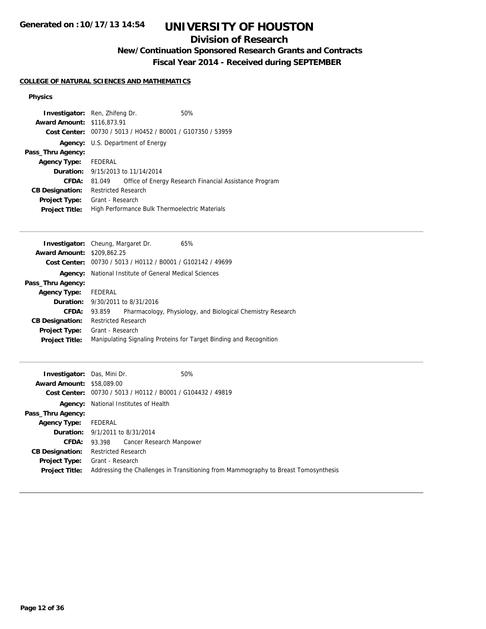## **Division of Research**

## **New/Continuation Sponsored Research Grants and Contracts**

**Fiscal Year 2014 - Received during SEPTEMBER**

### **COLLEGE OF NATURAL SCIENCES AND MATHEMATICS**

#### **Physics**

| <b>Investigator:</b> Ren, Zhifeng Dr. |                                                |                                          | 50%                                                    |
|---------------------------------------|------------------------------------------------|------------------------------------------|--------------------------------------------------------|
| <b>Award Amount: \$116,873.91</b>     |                                                |                                          |                                                        |
| Cost Center:                          | 00730 / 5013 / H0452 / B0001 / G107350 / 53959 |                                          |                                                        |
|                                       | <b>Agency:</b> U.S. Department of Energy       |                                          |                                                        |
| Pass_Thru Agency:                     |                                                |                                          |                                                        |
| <b>Agency Type:</b>                   | FEDERAL                                        |                                          |                                                        |
|                                       |                                                | <b>Duration:</b> 9/15/2013 to 11/14/2014 |                                                        |
| CFDA:                                 | 81.049                                         |                                          | Office of Energy Research Financial Assistance Program |
| <b>CB Designation:</b>                | <b>Restricted Research</b>                     |                                          |                                                        |
| <b>Project Type:</b>                  | Grant - Research                               |                                          |                                                        |
| <b>Project Title:</b>                 | High Performance Bulk Thermoelectric Materials |                                          |                                                        |

| <b>Investigator:</b> Cheung, Margaret Dr.                   | 65%                                                                |
|-------------------------------------------------------------|--------------------------------------------------------------------|
| <b>Award Amount: \$209,862.25</b>                           |                                                                    |
| Cost Center: 00730 / 5013 / H0112 / B0001 / G102142 / 49699 |                                                                    |
| National Institute of General Medical Sciences<br>Agency:   |                                                                    |
| Pass_Thru Agency:                                           |                                                                    |
| FEDERAL                                                     |                                                                    |
| <b>Duration:</b> $9/30/2011$ to $8/31/2016$                 |                                                                    |
| 93.859                                                      | Pharmacology, Physiology, and Biological Chemistry Research        |
| <b>Restricted Research</b>                                  |                                                                    |
| Grant - Research                                            |                                                                    |
|                                                             | Manipulating Signaling Proteins for Target Binding and Recognition |
|                                                             |                                                                    |

| <b>Investigator:</b> Das, Mini Dr.<br><b>Award Amount: \$58,089.00</b><br>Cost Center: | 50%<br>00730 / 5013 / H0112 / B0001 / G104432 / 49819                                                   |
|----------------------------------------------------------------------------------------|---------------------------------------------------------------------------------------------------------|
|                                                                                        | <b>Agency:</b> National Institutes of Health                                                            |
| Pass_Thru Agency:                                                                      |                                                                                                         |
| <b>Agency Type:</b>                                                                    | FEDERAL                                                                                                 |
|                                                                                        | <b>Duration:</b> 9/1/2011 to 8/31/2014                                                                  |
| <b>CFDA:</b>                                                                           | 93.398 Cancer Research Manpower                                                                         |
| <b>CB Designation:</b>                                                                 | <b>Restricted Research</b>                                                                              |
| Project Type:<br><b>Project Title:</b>                                                 | Grant - Research<br>Addressing the Challenges in Transitioning from Mammography to Breast Tomosynthesis |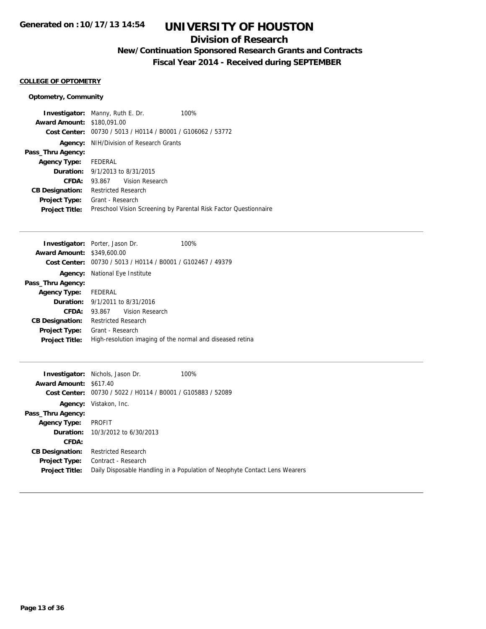### **Division of Research**

## **New/Continuation Sponsored Research Grants and Contracts**

**Fiscal Year 2014 - Received during SEPTEMBER**

#### **COLLEGE OF OPTOMETRY**

### **Optometry, Community**

|                                   | <b>Investigator:</b> Manny, Ruth E. Dr.                     | 100%                                                             |
|-----------------------------------|-------------------------------------------------------------|------------------------------------------------------------------|
| <b>Award Amount: \$180.091.00</b> |                                                             |                                                                  |
|                                   | Cost Center: 00730 / 5013 / H0114 / B0001 / G106062 / 53772 |                                                                  |
|                                   | <b>Agency:</b> NIH/Division of Research Grants              |                                                                  |
| Pass_Thru Agency:                 |                                                             |                                                                  |
| Agency Type:                      | FEDERAL                                                     |                                                                  |
|                                   | <b>Duration:</b> 9/1/2013 to 8/31/2015                      |                                                                  |
| CFDA:                             | 93.867 Vision Research                                      |                                                                  |
| <b>CB Designation:</b>            | <b>Restricted Research</b>                                  |                                                                  |
| <b>Project Type:</b>              | Grant - Research                                            |                                                                  |
| <b>Project Title:</b>             |                                                             | Preschool Vision Screening by Parental Risk Factor Questionnaire |

|                                   | <b>Investigator:</b> Porter, Jason Dr.                      | 100% |
|-----------------------------------|-------------------------------------------------------------|------|
| <b>Award Amount: \$349,600.00</b> |                                                             |      |
|                                   | Cost Center: 00730 / 5013 / H0114 / B0001 / G102467 / 49379 |      |
| Agency:                           | National Eye Institute                                      |      |
| Pass_Thru Agency:                 |                                                             |      |
| <b>Agency Type:</b>               | FEDERAL                                                     |      |
|                                   | <b>Duration:</b> $9/1/2011$ to $8/31/2016$                  |      |
| CFDA:                             | Vision Research<br>93.867                                   |      |
| <b>CB Designation:</b>            | <b>Restricted Research</b>                                  |      |
| <b>Project Type:</b>              | Grant - Research                                            |      |
| <b>Project Title:</b>             | High-resolution imaging of the normal and diseased retina   |      |

|                        | <b>Investigator:</b> Nichols, Jason Dr.        | 100%                                                                       |
|------------------------|------------------------------------------------|----------------------------------------------------------------------------|
| <b>Award Amount:</b>   | \$617.40                                       |                                                                            |
| Cost Center:           | 00730 / 5022 / H0114 / B0001 / G105883 / 52089 |                                                                            |
| Agency:                | Vistakon, Inc.                                 |                                                                            |
| Pass_Thru Agency:      |                                                |                                                                            |
| <b>Agency Type:</b>    | PROFIT                                         |                                                                            |
|                        | <b>Duration:</b> 10/3/2012 to 6/30/2013        |                                                                            |
| <b>CFDA:</b>           |                                                |                                                                            |
| <b>CB Designation:</b> | <b>Restricted Research</b>                     |                                                                            |
| <b>Project Type:</b>   | Contract - Research                            |                                                                            |
| <b>Project Title:</b>  |                                                | Daily Disposable Handling in a Population of Neophyte Contact Lens Wearers |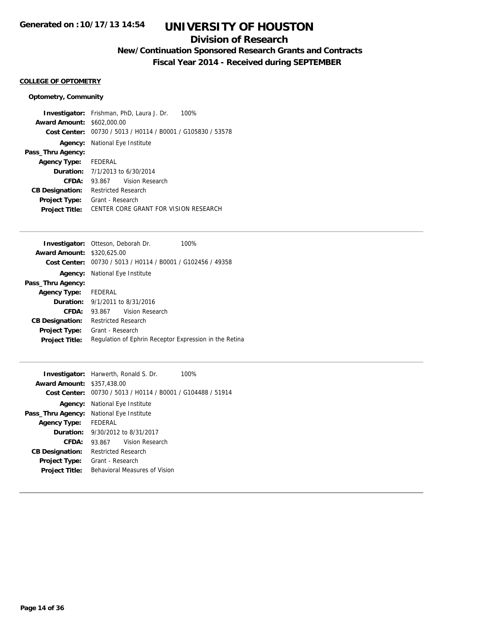### **Division of Research**

## **New/Continuation Sponsored Research Grants and Contracts**

**Fiscal Year 2014 - Received during SEPTEMBER**

#### **COLLEGE OF OPTOMETRY**

### **Optometry, Community**

|                                   | <b>Investigator:</b> Frishman, PhD, Laura J. Dr.<br>100%    |
|-----------------------------------|-------------------------------------------------------------|
| <b>Award Amount: \$602,000.00</b> |                                                             |
|                                   | Cost Center: 00730 / 5013 / H0114 / B0001 / G105830 / 53578 |
|                                   | <b>Agency:</b> National Eye Institute                       |
| Pass_Thru Agency:                 |                                                             |
| <b>Agency Type:</b> FEDERAL       |                                                             |
|                                   | <b>Duration:</b> $7/1/2013$ to $6/30/2014$                  |
| CFDA:                             | 93.867 Vision Research                                      |
| <b>CB Designation:</b>            | <b>Restricted Research</b>                                  |
| <b>Project Type:</b>              | Grant - Research                                            |
| <b>Project Title:</b>             | CENTER CORE GRANT FOR VISION RESEARCH                       |
|                                   |                                                             |

|                                   | <b>Investigator:</b> Otteson, Deborah Dr.                   | 100% |
|-----------------------------------|-------------------------------------------------------------|------|
| <b>Award Amount: \$320,625.00</b> |                                                             |      |
|                                   | Cost Center: 00730 / 5013 / H0114 / B0001 / G102456 / 49358 |      |
|                                   | <b>Agency:</b> National Eye Institute                       |      |
| Pass_Thru Agency:                 |                                                             |      |
| Agency Type:                      | FEDERAL                                                     |      |
|                                   | <b>Duration:</b> $9/1/2011$ to $8/31/2016$                  |      |
| CFDA:                             | Vision Research<br>93.867                                   |      |
| <b>CB Designation:</b>            | Restricted Research                                         |      |
| <b>Project Type:</b>              | Grant - Research                                            |      |
| <b>Project Title:</b>             | Regulation of Ephrin Receptor Expression in the Retina      |      |
|                                   |                                                             |      |

| <b>Award Amount: \$357,438.00</b> | <b>Investigator:</b> Harwerth, Ronald S. Dr.<br>100%        |  |  |
|-----------------------------------|-------------------------------------------------------------|--|--|
|                                   | Cost Center: 00730 / 5013 / H0114 / B0001 / G104488 / 51914 |  |  |
|                                   | <b>Agency:</b> National Eye Institute                       |  |  |
| Pass_Thru Agency:                 | National Eye Institute                                      |  |  |
| <b>Agency Type:</b>               | FEDERAL                                                     |  |  |
|                                   | <b>Duration:</b> $9/30/2012$ to $8/31/2017$                 |  |  |
| CFDA:                             | Vision Research<br>93.867                                   |  |  |
| <b>CB Designation:</b>            | Restricted Research                                         |  |  |
| <b>Project Type:</b>              | Grant - Research                                            |  |  |
| <b>Project Title:</b>             | Behavioral Measures of Vision                               |  |  |
|                                   |                                                             |  |  |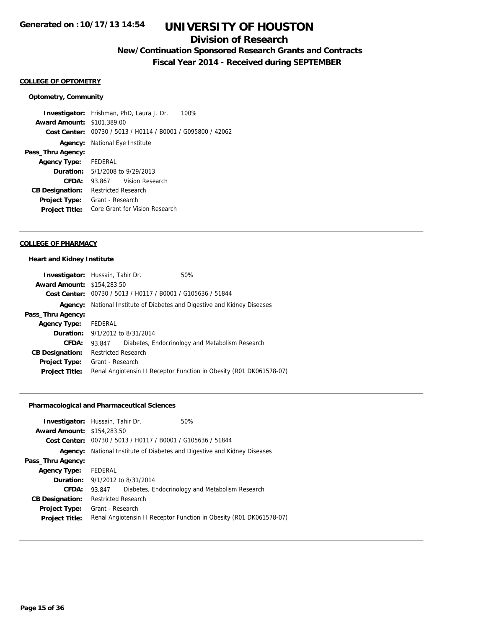### **Division of Research**

## **New/Continuation Sponsored Research Grants and Contracts**

**Fiscal Year 2014 - Received during SEPTEMBER**

### **COLLEGE OF OPTOMETRY**

#### **Optometry, Community**

**Investigator:** Frishman, PhD, Laura J. Dr. 100% **Award Amount:** \$101,389.00 **Cost Center:** 00730 / 5013 / H0114 / B0001 / G095800 / 42062 **Agency:** National Eye Institute **Pass\_Thru Agency: Agency Type:** FEDERAL **Duration:** 5/1/2008 to 9/29/2013 **CFDA:** 93.867 Vision Research **CB Designation:** Restricted Research **Project Type:** Grant - Research **Project Title:** Core Grant for Vision Research

### **COLLEGE OF PHARMACY**

#### **Heart and Kidney Institute**

|                                   | <b>Investigator:</b> Hussain, Tahir Dr.                     | 50%                                                                 |
|-----------------------------------|-------------------------------------------------------------|---------------------------------------------------------------------|
| <b>Award Amount: \$154,283.50</b> |                                                             |                                                                     |
|                                   | Cost Center: 00730 / 5013 / H0117 / B0001 / G105636 / 51844 |                                                                     |
| Agency:                           |                                                             | National Institute of Diabetes and Digestive and Kidney Diseases    |
| Pass_Thru Agency:                 |                                                             |                                                                     |
| <b>Agency Type:</b>               | FEDERAL                                                     |                                                                     |
|                                   | <b>Duration:</b> 9/1/2012 to 8/31/2014                      |                                                                     |
| CFDA:                             | 93.847                                                      | Diabetes, Endocrinology and Metabolism Research                     |
| <b>CB Designation:</b>            | <b>Restricted Research</b>                                  |                                                                     |
| Project Type:                     | Grant - Research                                            |                                                                     |
| <b>Project Title:</b>             |                                                             | Renal Angiotensin II Receptor Function in Obesity (R01 DK061578-07) |

### **Pharmacological and Pharmaceutical Sciences**

| <b>Award Amount: \$154,283.50</b> | <b>Investigator:</b> Hussain, Tahir Dr.<br>Cost Center: 00730 / 5013 / H0117 / B0001 / G105636 / 51844 | 50%                                                                 |
|-----------------------------------|--------------------------------------------------------------------------------------------------------|---------------------------------------------------------------------|
| Agency:                           |                                                                                                        | National Institute of Diabetes and Digestive and Kidney Diseases    |
| Pass_Thru Agency:                 |                                                                                                        |                                                                     |
| <b>Agency Type:</b>               | FEDERAL                                                                                                |                                                                     |
|                                   | <b>Duration:</b> 9/1/2012 to 8/31/2014                                                                 |                                                                     |
| CFDA:                             | 93.847                                                                                                 | Diabetes, Endocrinology and Metabolism Research                     |
| <b>CB Designation:</b>            | <b>Restricted Research</b>                                                                             |                                                                     |
| <b>Project Type:</b>              | Grant - Research                                                                                       |                                                                     |
| <b>Project Title:</b>             |                                                                                                        | Renal Angiotensin II Receptor Function in Obesity (R01 DK061578-07) |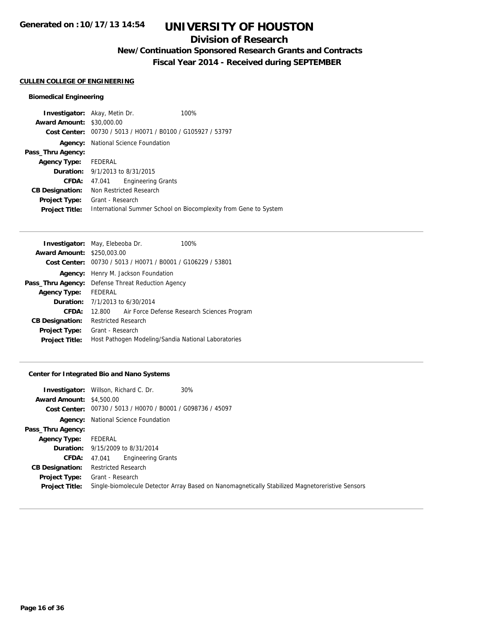### **Division of Research**

## **New/Continuation Sponsored Research Grants and Contracts**

**Fiscal Year 2014 - Received during SEPTEMBER**

#### **CULLEN COLLEGE OF ENGINEERING**

### **Biomedical Engineering**

|                                  | <b>Investigator:</b> Akay, Metin Dr.<br>100%                     |
|----------------------------------|------------------------------------------------------------------|
| <b>Award Amount: \$30,000.00</b> |                                                                  |
| Cost Center:                     | 00730 / 5013 / H0071 / B0100 / G105927 / 53797                   |
| Agency:                          | National Science Foundation                                      |
| Pass_Thru Agency:                |                                                                  |
| <b>Agency Type:</b>              | FEDERAL                                                          |
|                                  | <b>Duration:</b> $9/1/2013$ to $8/31/2015$                       |
| <b>CFDA:</b>                     | <b>Engineering Grants</b><br>47.041                              |
| <b>CB Designation:</b>           | Non Restricted Research                                          |
| <b>Project Type:</b>             | Grant - Research                                                 |
| <b>Project Title:</b>            | International Summer School on Biocomplexity from Gene to System |

| <b>Investigator:</b> May, Elebeoba Dr. |                                                             |  | 100%                                                |                                             |
|----------------------------------------|-------------------------------------------------------------|--|-----------------------------------------------------|---------------------------------------------|
| <b>Award Amount: \$250,003.00</b>      |                                                             |  |                                                     |                                             |
|                                        | Cost Center: 00730 / 5013 / H0071 / B0001 / G106229 / 53801 |  |                                                     |                                             |
|                                        | <b>Agency:</b> Henry M. Jackson Foundation                  |  |                                                     |                                             |
|                                        | <b>Pass_Thru Agency:</b> Defense Threat Reduction Agency    |  |                                                     |                                             |
| <b>Agency Type:</b>                    | FEDERAL                                                     |  |                                                     |                                             |
|                                        | <b>Duration:</b> 7/1/2013 to 6/30/2014                      |  |                                                     |                                             |
| CFDA:                                  | 12.800                                                      |  |                                                     | Air Force Defense Research Sciences Program |
| <b>CB Designation:</b>                 | <b>Restricted Research</b>                                  |  |                                                     |                                             |
| <b>Project Type:</b>                   | Grant - Research                                            |  |                                                     |                                             |
| <b>Project Title:</b>                  |                                                             |  | Host Pathogen Modeling/Sandia National Laboratories |                                             |

### **Center for Integrated Bio and Nano Systems**

|                                 | <b>Investigator:</b> Willson, Richard C. Dr.<br>30%                                             |
|---------------------------------|-------------------------------------------------------------------------------------------------|
| <b>Award Amount: \$4,500.00</b> |                                                                                                 |
|                                 | Cost Center: 00730 / 5013 / H0070 / B0001 / G098736 / 45097                                     |
| Agency:                         | National Science Foundation                                                                     |
| Pass_Thru Agency:               |                                                                                                 |
| <b>Agency Type:</b>             | FEDERAL                                                                                         |
|                                 | <b>Duration:</b> 9/15/2009 to 8/31/2014                                                         |
| <b>CFDA:</b>                    | <b>Engineering Grants</b><br>47.041                                                             |
| <b>CB Designation:</b>          | <b>Restricted Research</b>                                                                      |
| Project Type:                   | Grant - Research                                                                                |
| <b>Project Title:</b>           | Single-biomolecule Detector Array Based on Nanomagnetically Stabilized Magnetoreristive Sensors |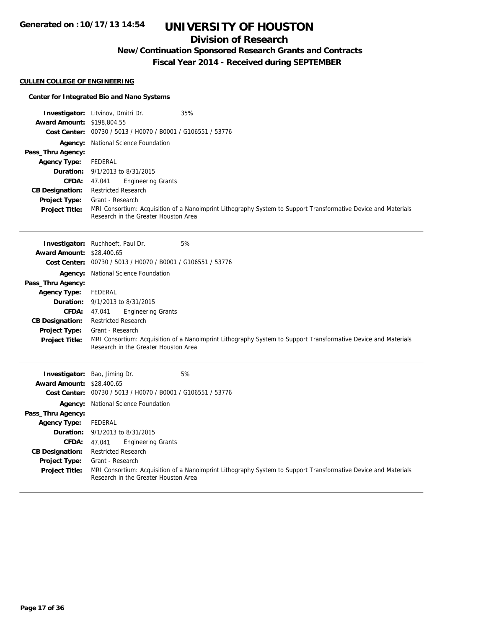## **Division of Research**

**New/Continuation Sponsored Research Grants and Contracts**

**Fiscal Year 2014 - Received during SEPTEMBER**

### **CULLEN COLLEGE OF ENGINEERING**

### **Center for Integrated Bio and Nano Systems**

|                                   | <b>Investigator:</b> Litvinov, Dmitri Dr.<br>35%                                                                                                       |
|-----------------------------------|--------------------------------------------------------------------------------------------------------------------------------------------------------|
| <b>Award Amount: \$198,804.55</b> |                                                                                                                                                        |
|                                   | Cost Center: 00730 / 5013 / H0070 / B0001 / G106551 / 53776                                                                                            |
|                                   | <b>Agency:</b> National Science Foundation                                                                                                             |
| Pass_Thru Agency:                 |                                                                                                                                                        |
| <b>Agency Type:</b>               | FEDERAL                                                                                                                                                |
|                                   | <b>Duration:</b> 9/1/2013 to 8/31/2015                                                                                                                 |
| <b>CFDA:</b>                      | <b>Engineering Grants</b><br>47.041                                                                                                                    |
| <b>CB Designation:</b>            | <b>Restricted Research</b>                                                                                                                             |
| <b>Project Type:</b>              | Grant - Research                                                                                                                                       |
| <b>Project Title:</b>             | MRI Consortium: Acquisition of a Nanoimprint Lithography System to Support Transformative Device and Materials<br>Research in the Greater Houston Area |

|                                  | 5%<br><b>Investigator:</b> Ruchhoeft, Paul Dr.                                                                                                         |
|----------------------------------|--------------------------------------------------------------------------------------------------------------------------------------------------------|
| <b>Award Amount: \$28,400.65</b> |                                                                                                                                                        |
|                                  | Cost Center: 00730 / 5013 / H0070 / B0001 / G106551 / 53776                                                                                            |
|                                  | <b>Agency:</b> National Science Foundation                                                                                                             |
| Pass_Thru Agency:                |                                                                                                                                                        |
| <b>Agency Type:</b>              | FEDERAL                                                                                                                                                |
|                                  | <b>Duration:</b> $9/1/2013$ to $8/31/2015$                                                                                                             |
| <b>CFDA:</b>                     | <b>Engineering Grants</b><br>47.041                                                                                                                    |
| <b>CB Designation:</b>           | <b>Restricted Research</b>                                                                                                                             |
| <b>Project Type:</b>             | Grant - Research                                                                                                                                       |
| <b>Project Title:</b>            | MRI Consortium: Acquisition of a Nanoimprint Lithography System to Support Transformative Device and Materials<br>Research in the Greater Houston Area |

|                                  | 5%<br><b>Investigator:</b> Bao, Jiming Dr.                                                                                                             |  |
|----------------------------------|--------------------------------------------------------------------------------------------------------------------------------------------------------|--|
| <b>Award Amount: \$28,400.65</b> |                                                                                                                                                        |  |
| Cost Center:                     | 00730 / 5013 / H0070 / B0001 / G106551 / 53776                                                                                                         |  |
|                                  | <b>Agency:</b> National Science Foundation                                                                                                             |  |
| Pass_Thru Agency:                |                                                                                                                                                        |  |
| <b>Agency Type:</b>              | FEDERAL                                                                                                                                                |  |
|                                  | <b>Duration:</b> $9/1/2013$ to $8/31/2015$                                                                                                             |  |
| <b>CFDA:</b>                     | <b>Engineering Grants</b><br>47.041                                                                                                                    |  |
| <b>CB Designation:</b>           | <b>Restricted Research</b>                                                                                                                             |  |
| <b>Project Type:</b>             | Grant - Research                                                                                                                                       |  |
| <b>Project Title:</b>            | MRI Consortium: Acquisition of a Nanoimprint Lithography System to Support Transformative Device and Materials<br>Research in the Greater Houston Area |  |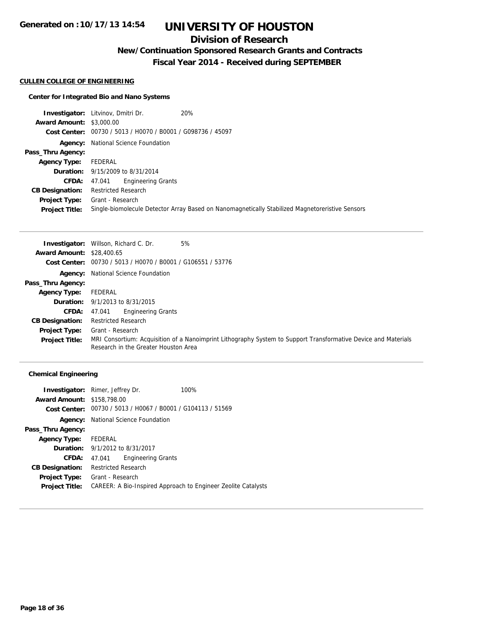## **Division of Research**

**New/Continuation Sponsored Research Grants and Contracts**

**Fiscal Year 2014 - Received during SEPTEMBER**

#### **CULLEN COLLEGE OF ENGINEERING**

### **Center for Integrated Bio and Nano Systems**

|                                 | <b>Investigator:</b> Litvinov, Dmitri Dr.                   | 20%                                                                                             |
|---------------------------------|-------------------------------------------------------------|-------------------------------------------------------------------------------------------------|
| <b>Award Amount: \$3,000.00</b> |                                                             |                                                                                                 |
|                                 | Cost Center: 00730 / 5013 / H0070 / B0001 / G098736 / 45097 |                                                                                                 |
| Agency:                         | National Science Foundation                                 |                                                                                                 |
| Pass_Thru Agency:               |                                                             |                                                                                                 |
| <b>Agency Type:</b>             | FEDERAL                                                     |                                                                                                 |
|                                 | <b>Duration:</b> 9/15/2009 to 8/31/2014                     |                                                                                                 |
| <b>CFDA:</b>                    | <b>Engineering Grants</b><br>47.041                         |                                                                                                 |
| <b>CB Designation:</b>          | <b>Restricted Research</b>                                  |                                                                                                 |
| Project Type:                   | Grant - Research                                            |                                                                                                 |
| <b>Project Title:</b>           |                                                             | Single-biomolecule Detector Array Based on Nanomagnetically Stabilized Magnetoreristive Sensors |

|                                  | 5%<br><b>Investigator:</b> Willson, Richard C. Dr.                                                                                                     |
|----------------------------------|--------------------------------------------------------------------------------------------------------------------------------------------------------|
| <b>Award Amount: \$28,400.65</b> |                                                                                                                                                        |
|                                  | Cost Center: 00730 / 5013 / H0070 / B0001 / G106551 / 53776                                                                                            |
|                                  | <b>Agency:</b> National Science Foundation                                                                                                             |
| Pass_Thru Agency:                |                                                                                                                                                        |
| <b>Agency Type:</b>              | FEDERAL                                                                                                                                                |
|                                  | <b>Duration:</b> $9/1/2013$ to $8/31/2015$                                                                                                             |
| <b>CFDA:</b>                     | <b>Engineering Grants</b><br>47.041                                                                                                                    |
| <b>CB Designation:</b>           | <b>Restricted Research</b>                                                                                                                             |
| <b>Project Type:</b>             | Grant - Research                                                                                                                                       |
| <b>Project Title:</b>            | MRI Consortium: Acquisition of a Nanoimprint Lithography System to Support Transformative Device and Materials<br>Research in the Greater Houston Area |

|                                   | <b>Investigator:</b> Rimer, Jeffrey Dr.                     | 100%                                                          |
|-----------------------------------|-------------------------------------------------------------|---------------------------------------------------------------|
| <b>Award Amount: \$158,798.00</b> |                                                             |                                                               |
|                                   | Cost Center: 00730 / 5013 / H0067 / B0001 / G104113 / 51569 |                                                               |
|                                   | <b>Agency:</b> National Science Foundation                  |                                                               |
| Pass_Thru Agency:                 |                                                             |                                                               |
| Agency Type: FEDERAL              |                                                             |                                                               |
|                                   | <b>Duration:</b> 9/1/2012 to 8/31/2017                      |                                                               |
| CFDA:                             | <b>Engineering Grants</b><br>47.041                         |                                                               |
| <b>CB Designation:</b>            | <b>Restricted Research</b>                                  |                                                               |
| Project Type:                     | Grant - Research                                            |                                                               |
| <b>Project Title:</b>             |                                                             | CAREER: A Bio-Inspired Approach to Engineer Zeolite Catalysts |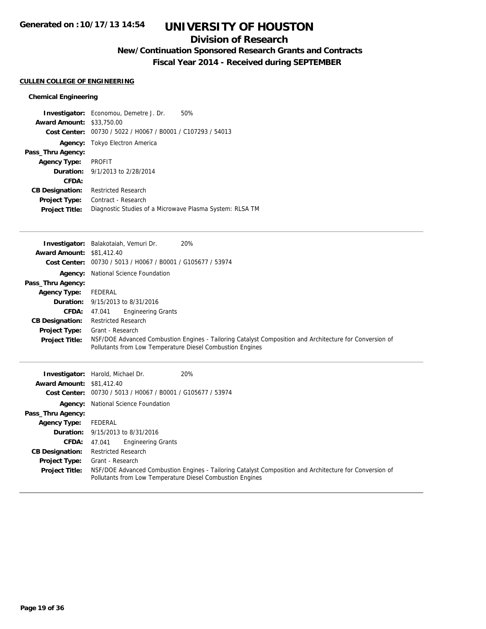### **Division of Research**

# **New/Continuation Sponsored Research Grants and Contracts**

**Fiscal Year 2014 - Received during SEPTEMBER**

### **CULLEN COLLEGE OF ENGINEERING**

|                                  | <b>Investigator:</b> Economou, Demetre J. Dr.            | 50% |
|----------------------------------|----------------------------------------------------------|-----|
| <b>Award Amount: \$33,750.00</b> |                                                          |     |
| Cost Center:                     | 00730 / 5022 / H0067 / B0001 / C107293 / 54013           |     |
|                                  | Agency: Tokyo Electron America                           |     |
| Pass_Thru Agency:                |                                                          |     |
| <b>Agency Type:</b>              | PROFIT                                                   |     |
|                                  | <b>Duration:</b> 9/1/2013 to 2/28/2014                   |     |
| CFDA:                            |                                                          |     |
| <b>CB Designation:</b>           | <b>Restricted Research</b>                               |     |
| Project Type:                    | Contract - Research                                      |     |
| <b>Project Title:</b>            | Diagnostic Studies of a Microwave Plasma System: RLSA TM |     |

|                                  | Investigator: Balakotaiah, Vemuri Dr.<br>20%                                                            |
|----------------------------------|---------------------------------------------------------------------------------------------------------|
| <b>Award Amount: \$81,412.40</b> |                                                                                                         |
|                                  | Cost Center: 00730 / 5013 / H0067 / B0001 / G105677 / 53974                                             |
|                                  | <b>Agency:</b> National Science Foundation                                                              |
| Pass_Thru Agency:                |                                                                                                         |
| <b>Agency Type:</b>              | FEDERAL                                                                                                 |
|                                  | <b>Duration:</b> 9/15/2013 to 8/31/2016                                                                 |
| <b>CFDA:</b>                     | <b>Engineering Grants</b><br>47.041                                                                     |
| <b>CB Designation:</b>           | <b>Restricted Research</b>                                                                              |
| <b>Project Type:</b>             | Grant - Research                                                                                        |
| <b>Project Title:</b>            | NSF/DOE Advanced Combustion Engines - Tailoring Catalyst Composition and Architecture for Conversion of |
|                                  | Pollutants from Low Temperature Diesel Combustion Engines                                               |
|                                  |                                                                                                         |
|                                  | <b>Investigator:</b> Harold, Michael Dr.<br>20%                                                         |
| <b>Award Amount: \$81,412.40</b> |                                                                                                         |
|                                  | Cost Center: 00730 / 5013 / H0067 / B0001 / G105677 / 53974                                             |
|                                  | <b>Agency:</b> National Science Foundation                                                              |
| Pass Thru Agency:                |                                                                                                         |

| Pass_Thru Agency:     |                                                                                                                                                                      |  |
|-----------------------|----------------------------------------------------------------------------------------------------------------------------------------------------------------------|--|
| <b>Agency Type:</b>   | FEDERAL                                                                                                                                                              |  |
|                       | <b>Duration:</b> 9/15/2013 to 8/31/2016                                                                                                                              |  |
|                       | <b>CFDA:</b> 47.041 Engineering Grants                                                                                                                               |  |
|                       | <b>CB Designation:</b> Restricted Research                                                                                                                           |  |
| <b>Project Type:</b>  | Grant - Research                                                                                                                                                     |  |
| <b>Project Title:</b> | NSF/DOE Advanced Combustion Engines - Tailoring Catalyst Composition and Architecture for Conversion of<br>Pollutants from Low Temperature Diesel Combustion Engines |  |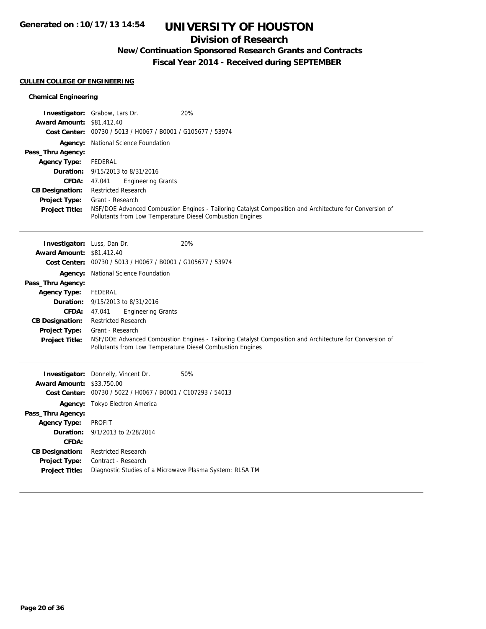### **Division of Research**

## **New/Continuation Sponsored Research Grants and Contracts**

**Fiscal Year 2014 - Received during SEPTEMBER**

### **CULLEN COLLEGE OF ENGINEERING**

| <b>Award Amount: \$81,412.40</b><br><b>Cost Center:</b> | <b>Investigator:</b> Grabow, Lars Dr.<br>00730 / 5013 / H0067 / B0001 / G105677 / 53974 | 20%                                                                                                                                                                  |
|---------------------------------------------------------|-----------------------------------------------------------------------------------------|----------------------------------------------------------------------------------------------------------------------------------------------------------------------|
| Pass_Thru Agency:                                       | <b>Agency:</b> National Science Foundation                                              |                                                                                                                                                                      |
| <b>Agency Type:</b>                                     | FEDERAL                                                                                 |                                                                                                                                                                      |
| <b>CFDA:</b>                                            | <b>Duration:</b> 9/15/2013 to 8/31/2016<br><b>Engineering Grants</b><br>47.041          |                                                                                                                                                                      |
| <b>CB Designation:</b>                                  | <b>Restricted Research</b>                                                              |                                                                                                                                                                      |
| <b>Project Type:</b>                                    | Grant - Research                                                                        |                                                                                                                                                                      |
| <b>Project Title:</b>                                   |                                                                                         | NSF/DOE Advanced Combustion Engines - Tailoring Catalyst Composition and Architecture for Conversion of<br>Pollutants from Low Temperature Diesel Combustion Engines |
| <b>Investigator:</b> Luss, Dan Dr.                      |                                                                                         | 20%                                                                                                                                                                  |
| <b>Award Amount: \$81,412.40</b>                        |                                                                                         |                                                                                                                                                                      |
| <b>Cost Center:</b>                                     | 00730 / 5013 / H0067 / B0001 / G105677 / 53974                                          |                                                                                                                                                                      |
|                                                         | <b>Agency:</b> National Science Foundation                                              |                                                                                                                                                                      |

| Pass_Thru Agency:     |                                                                                                                                                                      |
|-----------------------|----------------------------------------------------------------------------------------------------------------------------------------------------------------------|
| <b>Agency Type:</b>   | FEDERAL                                                                                                                                                              |
|                       | <b>Duration:</b> 9/15/2013 to 8/31/2016                                                                                                                              |
| CFDA:                 | <b>Engineering Grants</b><br>47.041                                                                                                                                  |
|                       | <b>CB Designation:</b> Restricted Research                                                                                                                           |
| <b>Project Type:</b>  | Grant - Research                                                                                                                                                     |
| <b>Project Title:</b> | NSF/DOE Advanced Combustion Engines - Tailoring Catalyst Composition and Architecture for Conversion of<br>Pollutants from Low Temperature Diesel Combustion Engines |
|                       |                                                                                                                                                                      |

|                                  | <b>Investigator:</b> Donnelly, Vincent Dr.                  | 50% |
|----------------------------------|-------------------------------------------------------------|-----|
| <b>Award Amount: \$33,750.00</b> |                                                             |     |
|                                  | Cost Center: 00730 / 5022 / H0067 / B0001 / C107293 / 54013 |     |
|                                  | <b>Agency:</b> Tokyo Electron America                       |     |
| Pass_Thru Agency:                |                                                             |     |
| <b>Agency Type:</b>              | PROFIT                                                      |     |
|                                  | <b>Duration:</b> 9/1/2013 to 2/28/2014                      |     |
| CFDA:                            |                                                             |     |
| <b>CB Designation:</b>           | <b>Restricted Research</b>                                  |     |
| Project Type:                    | Contract - Research                                         |     |
| <b>Project Title:</b>            | Diagnostic Studies of a Microwave Plasma System: RLSA TM    |     |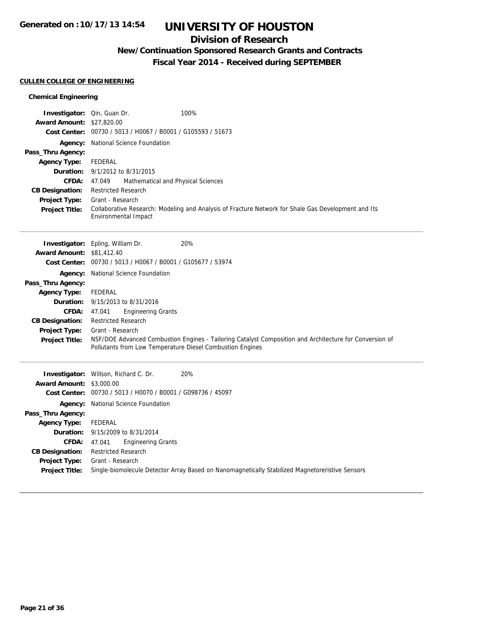### **Division of Research**

## **New/Continuation Sponsored Research Grants and Contracts**

**Fiscal Year 2014 - Received during SEPTEMBER**

### **CULLEN COLLEGE OF ENGINEERING**

| Investigator: Qin, Guan Dr.      | 100%                                                                                                                                                                 |
|----------------------------------|----------------------------------------------------------------------------------------------------------------------------------------------------------------------|
| <b>Award Amount: \$27,820.00</b> |                                                                                                                                                                      |
|                                  | Cost Center: 00730 / 5013 / H0067 / B0001 / G105593 / 51673                                                                                                          |
|                                  | <b>Agency:</b> National Science Foundation                                                                                                                           |
| Pass_Thru Agency:                |                                                                                                                                                                      |
| <b>Agency Type:</b>              | FEDERAL                                                                                                                                                              |
| Duration:<br><b>CFDA:</b>        | 9/1/2012 to 8/31/2015                                                                                                                                                |
| <b>CB Designation:</b>           | Mathematical and Physical Sciences<br>47.049<br><b>Restricted Research</b>                                                                                           |
| <b>Project Type:</b>             | Grant - Research                                                                                                                                                     |
| Project Title:                   | Collaborative Research: Modeling and Analysis of Fracture Network for Shale Gas Development and Its                                                                  |
|                                  | Environmental Impact                                                                                                                                                 |
|                                  |                                                                                                                                                                      |
|                                  | 20%<br>Investigator: Epling, William Dr.                                                                                                                             |
| <b>Award Amount: \$81,412.40</b> |                                                                                                                                                                      |
|                                  | Cost Center: 00730 / 5013 / H0067 / B0001 / G105677 / 53974                                                                                                          |
|                                  | Agency: National Science Foundation                                                                                                                                  |
| Pass_Thru Agency:                |                                                                                                                                                                      |
| <b>Agency Type:</b>              | FEDERAL                                                                                                                                                              |
| Duration:                        | 9/15/2013 to 8/31/2016                                                                                                                                               |
| CFDA:                            | <b>Engineering Grants</b><br>47.041                                                                                                                                  |
| <b>CB Designation:</b>           | <b>Restricted Research</b>                                                                                                                                           |
| <b>Project Type:</b>             | Grant - Research                                                                                                                                                     |
| <b>Project Title:</b>            | NSF/DOE Advanced Combustion Engines - Tailoring Catalyst Composition and Architecture for Conversion of<br>Pollutants from Low Temperature Diesel Combustion Engines |
|                                  |                                                                                                                                                                      |
|                                  | 20%<br>Investigator: Willson, Richard C. Dr.                                                                                                                         |
| <b>Award Amount: \$3,000.00</b>  |                                                                                                                                                                      |
|                                  | Cost Center: 00730 / 5013 / H0070 / B0001 / G098736 / 45097                                                                                                          |
|                                  | <b>Agency:</b> National Science Foundation                                                                                                                           |
| Pass_Thru Agency:                |                                                                                                                                                                      |
| <b>Agency Type:</b>              | <b>FEDERAL</b>                                                                                                                                                       |
| Duration:                        | 9/15/2009 to 8/31/2014                                                                                                                                               |
| <b>CFDA:</b>                     | 47.041<br><b>Engineering Grants</b>                                                                                                                                  |
| <b>CB Designation:</b>           | Restricted Research                                                                                                                                                  |
| <b>Project Type:</b>             | Grant - Research                                                                                                                                                     |
| <b>Project Title:</b>            | Single-biomolecule Detector Array Based on Nanomagnetically Stabilized Magnetoreristive Sensors                                                                      |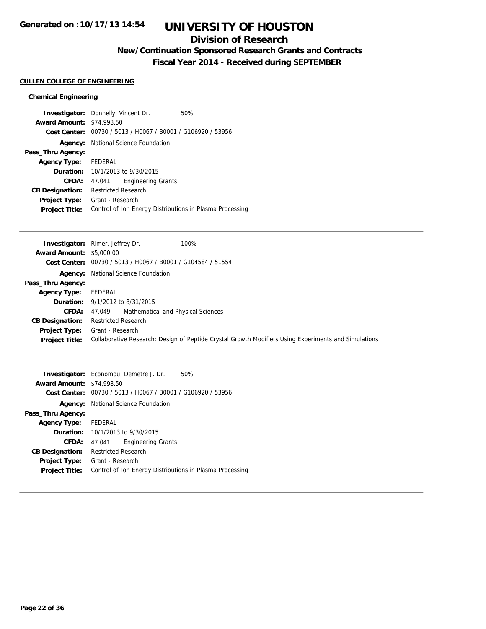### **Division of Research**

## **New/Continuation Sponsored Research Grants and Contracts**

**Fiscal Year 2014 - Received during SEPTEMBER**

### **CULLEN COLLEGE OF ENGINEERING**

|                                  | <b>Investigator:</b> Donnelly, Vincent Dr.                  | 50% |
|----------------------------------|-------------------------------------------------------------|-----|
| <b>Award Amount: \$74,998.50</b> |                                                             |     |
|                                  | Cost Center: 00730 / 5013 / H0067 / B0001 / G106920 / 53956 |     |
| Agency:                          | National Science Foundation                                 |     |
| Pass_Thru Agency:                |                                                             |     |
| Agency Type: FEDERAL             |                                                             |     |
|                                  | <b>Duration:</b> 10/1/2013 to 9/30/2015                     |     |
| CFDA:                            | <b>Engineering Grants</b><br>47.041                         |     |
| <b>CB Designation:</b>           | Restricted Research                                         |     |
| <b>Project Type:</b>             | Grant - Research                                            |     |
| <b>Project Title:</b>            | Control of Ion Energy Distributions in Plasma Processing    |     |

|                                 | 100%<br><b>Investigator:</b> Rimer, Jeffrey Dr.                                                      |
|---------------------------------|------------------------------------------------------------------------------------------------------|
| <b>Award Amount: \$5,000.00</b> |                                                                                                      |
|                                 | Cost Center: 00730 / 5013 / H0067 / B0001 / G104584 / 51554                                          |
|                                 | <b>Agency:</b> National Science Foundation                                                           |
| Pass_Thru Agency:               |                                                                                                      |
| <b>Agency Type:</b>             | FEDERAL                                                                                              |
|                                 | <b>Duration:</b> $9/1/2012$ to $8/31/2015$                                                           |
| <b>CFDA:</b>                    | Mathematical and Physical Sciences<br>47.049                                                         |
| <b>CB Designation:</b>          | <b>Restricted Research</b>                                                                           |
| <b>Project Type:</b>            | Grant - Research                                                                                     |
| <b>Project Title:</b>           | Collaborative Research: Design of Peptide Crystal Growth Modifiers Using Experiments and Simulations |
|                                 |                                                                                                      |

|                                  | 50%<br><b>Investigator:</b> Economou, Demetre J. Dr.        |  |
|----------------------------------|-------------------------------------------------------------|--|
| <b>Award Amount: \$74,998.50</b> |                                                             |  |
|                                  | Cost Center: 00730 / 5013 / H0067 / B0001 / G106920 / 53956 |  |
|                                  | <b>Agency:</b> National Science Foundation                  |  |
| Pass_Thru Agency:                |                                                             |  |
| Agency Type: FEDERAL             |                                                             |  |
|                                  | <b>Duration:</b> 10/1/2013 to 9/30/2015                     |  |
| CFDA:                            | <b>Engineering Grants</b><br>47.041                         |  |
| <b>CB Designation:</b>           | <b>Restricted Research</b>                                  |  |
| <b>Project Type:</b>             | Grant - Research                                            |  |
| <b>Project Title:</b>            | Control of Ion Energy Distributions in Plasma Processing    |  |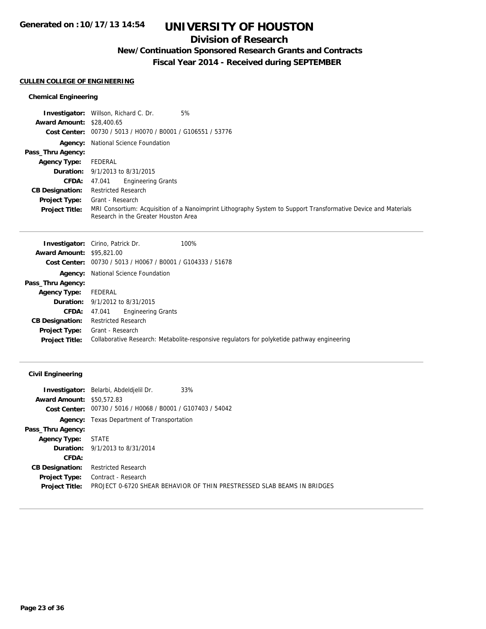### **Division of Research**

## **New/Continuation Sponsored Research Grants and Contracts**

**Fiscal Year 2014 - Received during SEPTEMBER**

### **CULLEN COLLEGE OF ENGINEERING**

### **Chemical Engineering**

|                                  | <b>Investigator:</b> Willson, Richard C. Dr.<br>5%                                                                                                     |
|----------------------------------|--------------------------------------------------------------------------------------------------------------------------------------------------------|
| <b>Award Amount: \$28,400.65</b> |                                                                                                                                                        |
|                                  | Cost Center: 00730 / 5013 / H0070 / B0001 / G106551 / 53776                                                                                            |
|                                  | <b>Agency:</b> National Science Foundation                                                                                                             |
| Pass_Thru Agency:                |                                                                                                                                                        |
| <b>Agency Type:</b>              | FEDERAL                                                                                                                                                |
|                                  | <b>Duration:</b> $9/1/2013$ to $8/31/2015$                                                                                                             |
| <b>CFDA:</b>                     | <b>Engineering Grants</b><br>47.041                                                                                                                    |
| <b>CB Designation:</b>           | <b>Restricted Research</b>                                                                                                                             |
| <b>Project Type:</b>             | Grant - Research                                                                                                                                       |
| <b>Project Title:</b>            | MRI Consortium: Acquisition of a Nanoimprint Lithography System to Support Transformative Device and Materials<br>Research in the Greater Houston Area |

|                                  | 100%<br><b>Investigator:</b> Cirino, Patrick Dr.                                            |
|----------------------------------|---------------------------------------------------------------------------------------------|
| <b>Award Amount: \$95,821,00</b> |                                                                                             |
|                                  | <b>Cost Center:</b> 00730 / 5013 / H0067 / B0001 / G104333 / 51678                          |
|                                  | <b>Agency:</b> National Science Foundation                                                  |
| Pass_Thru Agency:                |                                                                                             |
| <b>Agency Type:</b>              | FEDERAL                                                                                     |
|                                  | <b>Duration:</b> 9/1/2012 to 8/31/2015                                                      |
| CFDA:                            | <b>Engineering Grants</b><br>47.041                                                         |
| <b>CB Designation:</b>           | <b>Restricted Research</b>                                                                  |
| Project Type:                    | Grant - Research                                                                            |
| <b>Project Title:</b>            | Collaborative Research: Metabolite-responsive regulators for polyketide pathway engineering |
|                                  |                                                                                             |

### **Civil Engineering**

|                                  | <b>Investigator:</b> Belarbi, Abdeldjelil Dr.<br>33%                    |
|----------------------------------|-------------------------------------------------------------------------|
| <b>Award Amount: \$50,572.83</b> |                                                                         |
|                                  | Cost Center: 00730 / 5016 / H0068 / B0001 / G107403 / 54042             |
|                                  | <b>Agency:</b> Texas Department of Transportation                       |
| Pass_Thru Agency:                |                                                                         |
| <b>Agency Type:</b>              | <b>STATE</b>                                                            |
|                                  | <b>Duration:</b> 9/1/2013 to 8/31/2014                                  |
| CFDA:                            |                                                                         |
| <b>CB Designation:</b>           | <b>Restricted Research</b>                                              |
| Project Type:                    | Contract - Research                                                     |
| <b>Project Title:</b>            | PROJECT 0-6720 SHEAR BEHAVIOR OF THIN PRESTRESSED SLAB BEAMS IN BRIDGES |
|                                  |                                                                         |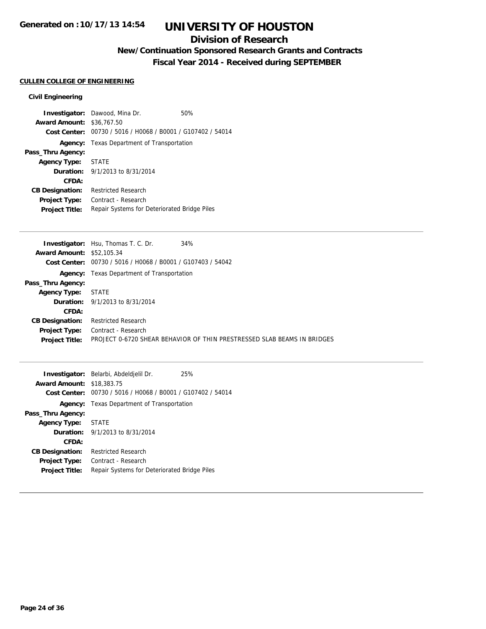### **Division of Research**

## **New/Continuation Sponsored Research Grants and Contracts**

**Fiscal Year 2014 - Received during SEPTEMBER**

## **CULLEN COLLEGE OF ENGINEERING**

### **Civil Engineering**

|                        | <b>Investigator:</b> Dawood, Mina Dr.                       | 50% |
|------------------------|-------------------------------------------------------------|-----|
| <b>Award Amount:</b>   | \$36,767.50                                                 |     |
|                        | Cost Center: 00730 / 5016 / H0068 / B0001 / G107402 / 54014 |     |
|                        | <b>Agency:</b> Texas Department of Transportation           |     |
| Pass_Thru Agency:      |                                                             |     |
| Agency Type: STATE     |                                                             |     |
|                        | <b>Duration:</b> $9/1/2013$ to $8/31/2014$                  |     |
| CFDA:                  |                                                             |     |
| <b>CB Designation:</b> | <b>Restricted Research</b>                                  |     |
| Project Type:          | Contract - Research                                         |     |
| <b>Project Title:</b>  | Repair Systems for Deteriorated Bridge Piles                |     |

|                                  | 34%<br><b>Investigator:</b> Hsu, Thomas T. C. Dr.                       |
|----------------------------------|-------------------------------------------------------------------------|
| <b>Award Amount: \$52,105.34</b> |                                                                         |
|                                  | Cost Center: $00730 / 5016 / 10068 / 80001 / 6107403 / 54042$           |
| Agency:                          | Texas Department of Transportation                                      |
| Pass_Thru Agency:                |                                                                         |
| <b>Agency Type: STATE</b>        |                                                                         |
|                                  | <b>Duration:</b> 9/1/2013 to 8/31/2014                                  |
| <b>CFDA:</b>                     |                                                                         |
| <b>CB Designation:</b>           | <b>Restricted Research</b>                                              |
| <b>Project Type:</b>             | Contract - Research                                                     |
| <b>Project Title:</b>            | PROJECT 0-6720 SHEAR BEHAVIOR OF THIN PRESTRESSED SLAB BEAMS IN BRIDGES |
|                                  |                                                                         |

|                        | <b>Investigator:</b> Belarbi, Abdeldjelil Dr.  | 25% |
|------------------------|------------------------------------------------|-----|
| <b>Award Amount:</b>   | \$18,383.75                                    |     |
| Cost Center:           | 00730 / 5016 / H0068 / B0001 / G107402 / 54014 |     |
| Agency:                | Texas Department of Transportation             |     |
| Pass_Thru Agency:      |                                                |     |
| <b>Agency Type:</b>    | <b>STATE</b>                                   |     |
|                        | <b>Duration:</b> $9/1/2013$ to $8/31/2014$     |     |
| CFDA:                  |                                                |     |
| <b>CB Designation:</b> | <b>Restricted Research</b>                     |     |
| <b>Project Type:</b>   | Contract - Research                            |     |
| <b>Project Title:</b>  | Repair Systems for Deteriorated Bridge Piles   |     |
|                        |                                                |     |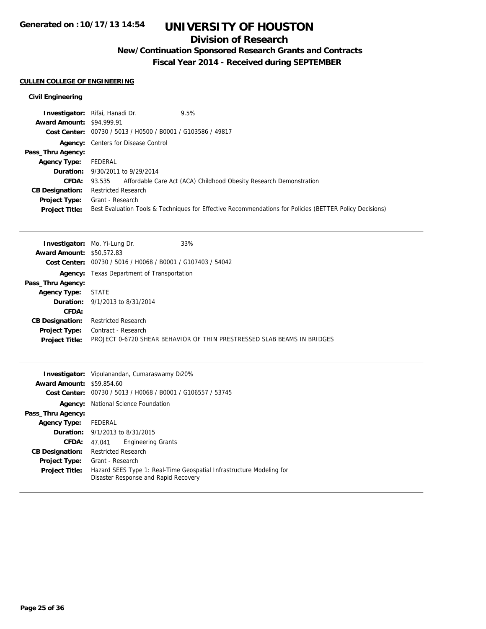### **Division of Research**

## **New/Continuation Sponsored Research Grants and Contracts**

**Fiscal Year 2014 - Received during SEPTEMBER**

### **CULLEN COLLEGE OF ENGINEERING**

### **Civil Engineering**

|                                  | <b>Investigator:</b> Rifai, Hanadi Dr.<br>9.5%                                                          |
|----------------------------------|---------------------------------------------------------------------------------------------------------|
| <b>Award Amount: \$94,999.91</b> |                                                                                                         |
|                                  | Cost Center: 00730 / 5013 / H0500 / B0001 / G103586 / 49817                                             |
|                                  | <b>Agency:</b> Centers for Disease Control                                                              |
| Pass_Thru Agency:                |                                                                                                         |
| <b>Agency Type:</b>              | FEDERAL                                                                                                 |
|                                  | <b>Duration:</b> 9/30/2011 to 9/29/2014                                                                 |
| <b>CFDA:</b>                     | 93.535 Affordable Care Act (ACA) Childhood Obesity Research Demonstration                               |
| <b>CB Designation:</b>           | <b>Restricted Research</b>                                                                              |
| <b>Project Type:</b>             | Grant - Research                                                                                        |
| <b>Project Title:</b>            | Best Evaluation Tools & Techniques for Effective Recommendations for Policies (BETTER Policy Decisions) |

|                                  | 33%<br><b>Investigator:</b> Mo, Yi-Lung Dr.                             |  |
|----------------------------------|-------------------------------------------------------------------------|--|
| <b>Award Amount: \$50.572.83</b> |                                                                         |  |
|                                  | Cost Center: $00730 / 5016 / 10068 / 80001 / 6107403 / 54042$           |  |
|                                  | <b>Agency:</b> Texas Department of Transportation                       |  |
| Pass_Thru Agency:                |                                                                         |  |
| <b>Agency Type:</b>              | <b>STATE</b>                                                            |  |
|                                  | <b>Duration:</b> 9/1/2013 to 8/31/2014                                  |  |
| CFDA:                            |                                                                         |  |
| <b>CB Designation:</b>           | <b>Restricted Research</b>                                              |  |
| <b>Project Type:</b>             | Contract - Research                                                     |  |
| <b>Project Title:</b>            | PROJECT 0-6720 SHEAR BEHAVIOR OF THIN PRESTRESSED SLAB BEAMS IN BRIDGES |  |

|                                  | <b>Investigator:</b> Vipulanandan, Cumaraswamy D20%                                                          |  |
|----------------------------------|--------------------------------------------------------------------------------------------------------------|--|
| <b>Award Amount: \$59,854.60</b> |                                                                                                              |  |
| Cost Center:                     | 00730 / 5013 / H0068 / B0001 / G106557 / 53745                                                               |  |
| Agency:                          | National Science Foundation                                                                                  |  |
| Pass_Thru Agency:                |                                                                                                              |  |
| <b>Agency Type:</b>              | FEDERAL                                                                                                      |  |
|                                  | <b>Duration:</b> $9/1/2013$ to $8/31/2015$                                                                   |  |
| CFDA:                            | <b>Engineering Grants</b><br>47.041                                                                          |  |
| <b>CB Designation:</b>           | <b>Restricted Research</b>                                                                                   |  |
| <b>Project Type:</b>             | Grant - Research                                                                                             |  |
| <b>Project Title:</b>            | Hazard SEES Type 1: Real-Time Geospatial Infrastructure Modeling for<br>Disaster Response and Rapid Recovery |  |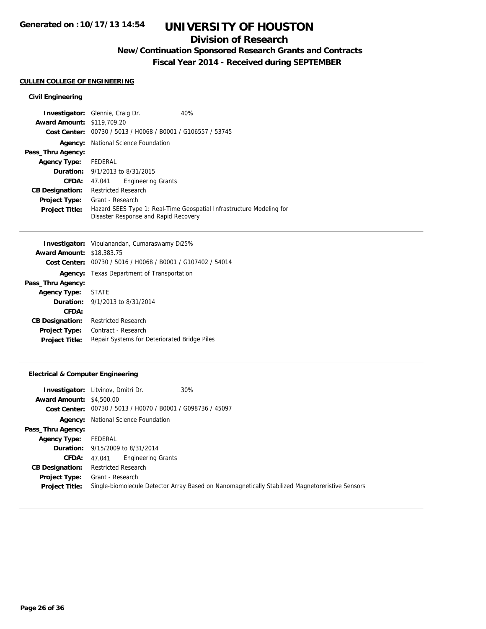### **Division of Research**

## **New/Continuation Sponsored Research Grants and Contracts**

**Fiscal Year 2014 - Received during SEPTEMBER**

### **CULLEN COLLEGE OF ENGINEERING**

### **Civil Engineering**

| <b>Investigator:</b> Glennie, Craig Dr. |                            |                                                | 40%                                                                  |
|-----------------------------------------|----------------------------|------------------------------------------------|----------------------------------------------------------------------|
| <b>Award Amount: \$119,709.20</b>       |                            |                                                |                                                                      |
| Cost Center:                            |                            | 00730 / 5013 / H0068 / B0001 / G106557 / 53745 |                                                                      |
|                                         |                            | <b>Agency:</b> National Science Foundation     |                                                                      |
| Pass_Thru Agency:                       |                            |                                                |                                                                      |
| <b>Agency Type:</b>                     | FEDERAL                    |                                                |                                                                      |
| <b>Duration:</b> 9/1/2013 to 8/31/2015  |                            |                                                |                                                                      |
| <b>CFDA:</b>                            | 47.041                     | <b>Engineering Grants</b>                      |                                                                      |
| <b>CB Designation:</b>                  | <b>Restricted Research</b> |                                                |                                                                      |
| <b>Project Type:</b>                    | Grant - Research           |                                                |                                                                      |
| <b>Project Title:</b>                   |                            |                                                | Hazard SEES Type 1: Real-Time Geospatial Infrastructure Modeling for |
|                                         |                            | Disaster Response and Rapid Recovery           |                                                                      |

| <b>Investigator:</b> Vipulanandan, Cumaraswamy D.25% |                                                             |
|------------------------------------------------------|-------------------------------------------------------------|
| <b>Award Amount: \$18,383.75</b>                     |                                                             |
|                                                      | Cost Center: 00730 / 5016 / H0068 / B0001 / G107402 / 54014 |
|                                                      | <b>Agency:</b> Texas Department of Transportation           |
| Pass_Thru Agency:                                    |                                                             |
| <b>Agency Type:</b>                                  | <b>STATE</b>                                                |
|                                                      | <b>Duration:</b> $9/1/2013$ to $8/31/2014$                  |
| CFDA:                                                |                                                             |
| <b>CB Designation:</b>                               | Restricted Research                                         |
| <b>Project Type:</b>                                 | Contract - Research                                         |
| <b>Project Title:</b>                                | Repair Systems for Deteriorated Bridge Piles                |
|                                                      |                                                             |

### **Electrical & Computer Engineering**

|                                 | <b>Investigator:</b> Litvinov, Dmitri Dr.                   | 30%                                                                                             |
|---------------------------------|-------------------------------------------------------------|-------------------------------------------------------------------------------------------------|
| <b>Award Amount: \$4,500.00</b> |                                                             |                                                                                                 |
|                                 | Cost Center: 00730 / 5013 / H0070 / B0001 / G098736 / 45097 |                                                                                                 |
| Agency:                         | National Science Foundation                                 |                                                                                                 |
| Pass_Thru Agency:               |                                                             |                                                                                                 |
| <b>Agency Type:</b>             | FEDERAL                                                     |                                                                                                 |
|                                 | <b>Duration:</b> 9/15/2009 to 8/31/2014                     |                                                                                                 |
| <b>CFDA:</b>                    | <b>Engineering Grants</b><br>47.041                         |                                                                                                 |
| <b>CB Designation:</b>          | <b>Restricted Research</b>                                  |                                                                                                 |
| <b>Project Type:</b>            | Grant - Research                                            |                                                                                                 |
| <b>Project Title:</b>           |                                                             | Single-biomolecule Detector Array Based on Nanomagnetically Stabilized Magnetoreristive Sensors |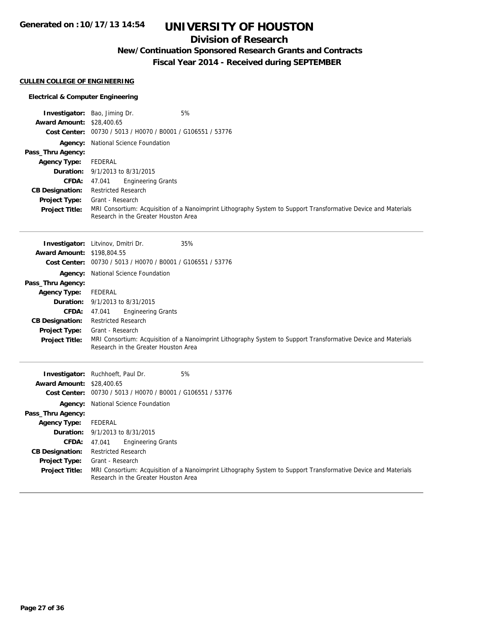## **Division of Research**

## **New/Continuation Sponsored Research Grants and Contracts**

**Fiscal Year 2014 - Received during SEPTEMBER**

### **CULLEN COLLEGE OF ENGINEERING**

### **Electrical & Computer Engineering**

|                                  | 5%<br><b>Investigator:</b> Bao, Jiming Dr.                                                                                                             |
|----------------------------------|--------------------------------------------------------------------------------------------------------------------------------------------------------|
| <b>Award Amount: \$28,400.65</b> |                                                                                                                                                        |
|                                  | Cost Center: 00730 / 5013 / H0070 / B0001 / G106551 / 53776                                                                                            |
|                                  | <b>Agency:</b> National Science Foundation                                                                                                             |
| Pass_Thru Agency:                |                                                                                                                                                        |
| <b>Agency Type:</b>              | FEDERAL                                                                                                                                                |
|                                  | <b>Duration:</b> 9/1/2013 to 8/31/2015                                                                                                                 |
| <b>CFDA:</b>                     | <b>Engineering Grants</b><br>47.041                                                                                                                    |
| <b>CB Designation:</b>           | <b>Restricted Research</b>                                                                                                                             |
| <b>Project Type:</b>             | Grant - Research                                                                                                                                       |
| <b>Project Title:</b>            | MRI Consortium: Acquisition of a Nanoimprint Lithography System to Support Transformative Device and Materials<br>Research in the Greater Houston Area |

|                                   | 35%<br><b>Investigator:</b> Litvinov, Dmitri Dr.                                                               |
|-----------------------------------|----------------------------------------------------------------------------------------------------------------|
| <b>Award Amount: \$198,804.55</b> |                                                                                                                |
|                                   | Cost Center: 00730 / 5013 / H0070 / B0001 / G106551 / 53776                                                    |
|                                   | <b>Agency:</b> National Science Foundation                                                                     |
| Pass_Thru Agency:                 |                                                                                                                |
| <b>Agency Type:</b>               | FEDERAL                                                                                                        |
|                                   | <b>Duration:</b> $9/1/2013$ to $8/31/2015$                                                                     |
| <b>CFDA:</b>                      | <b>Engineering Grants</b><br>47.041                                                                            |
| <b>CB Designation:</b>            | <b>Restricted Research</b>                                                                                     |
| <b>Project Type:</b>              | Grant - Research                                                                                               |
| <b>Project Title:</b>             | MRI Consortium: Acquisition of a Nanoimprint Lithography System to Support Transformative Device and Materials |
|                                   | Research in the Greater Houston Area                                                                           |
|                                   |                                                                                                                |
|                                   |                                                                                                                |

|                                  | 5%<br><b>Investigator:</b> Ruchhoeft, Paul Dr.                                                                                                         |
|----------------------------------|--------------------------------------------------------------------------------------------------------------------------------------------------------|
| <b>Award Amount: \$28,400.65</b> |                                                                                                                                                        |
| Cost Center:                     | 00730 / 5013 / H0070 / B0001 / G106551 / 53776                                                                                                         |
|                                  | <b>Agency:</b> National Science Foundation                                                                                                             |
| Pass_Thru Agency:                |                                                                                                                                                        |
| <b>Agency Type:</b>              | FEDERAL                                                                                                                                                |
|                                  | <b>Duration:</b> $9/1/2013$ to $8/31/2015$                                                                                                             |
| CFDA:                            | <b>Engineering Grants</b><br>47.041                                                                                                                    |
| <b>CB Designation:</b>           | <b>Restricted Research</b>                                                                                                                             |
| <b>Project Type:</b>             | Grant - Research                                                                                                                                       |
| <b>Project Title:</b>            | MRI Consortium: Acquisition of a Nanoimprint Lithography System to Support Transformative Device and Materials<br>Research in the Greater Houston Area |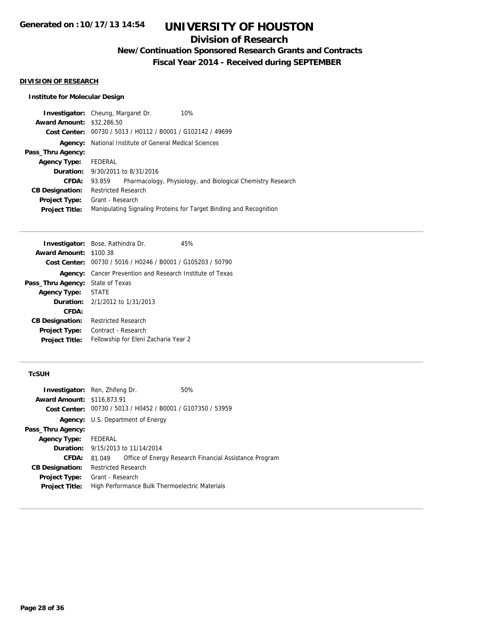## **Division of Research**

**New/Continuation Sponsored Research Grants and Contracts**

**Fiscal Year 2014 - Received during SEPTEMBER**

#### **DIVISION OF RESEARCH**

### **Institute for Molecular Design**

|                                  | <b>Investigator:</b> Cheung, Margaret Dr.                   | 10%                                                                |
|----------------------------------|-------------------------------------------------------------|--------------------------------------------------------------------|
| <b>Award Amount: \$32,286.50</b> |                                                             |                                                                    |
|                                  | Cost Center: 00730 / 5013 / H0112 / B0001 / G102142 / 49699 |                                                                    |
| Agency:                          | National Institute of General Medical Sciences              |                                                                    |
| Pass_Thru Agency:                |                                                             |                                                                    |
| <b>Agency Type:</b>              | FEDERAL                                                     |                                                                    |
|                                  | <b>Duration:</b> 9/30/2011 to 8/31/2016                     |                                                                    |
| CFDA:                            | 93.859                                                      | Pharmacology, Physiology, and Biological Chemistry Research        |
| <b>CB Designation:</b>           | <b>Restricted Research</b>                                  |                                                                    |
| Project Type:                    | Grant - Research                                            |                                                                    |
| <b>Project Title:</b>            |                                                             | Manipulating Signaling Proteins for Target Binding and Recognition |
|                                  |                                                             |                                                                    |

|                                         | Investigator: Bose, Rathindra Dr.                                | 45% |
|-----------------------------------------|------------------------------------------------------------------|-----|
| <b>Award Amount: \$100.38</b>           |                                                                  |     |
|                                         | Cost Center: 00730 / 5016 / H0246 / B0001 / G105203 / 50790      |     |
|                                         | <b>Agency:</b> Cancer Prevention and Research Institute of Texas |     |
| <b>Pass_Thru Agency:</b> State of Texas |                                                                  |     |
| <b>Agency Type: STATE</b>               |                                                                  |     |
|                                         | <b>Duration:</b> $2/1/2012$ to $1/31/2013$                       |     |
| CFDA:                                   |                                                                  |     |
| <b>CB Designation:</b>                  | <b>Restricted Research</b>                                       |     |
| <b>Project Type:</b>                    | Contract - Research                                              |     |
| <b>Project Title:</b>                   | Fellowship for Eleni Zacharia Year 2                             |     |
|                                         |                                                                  |     |

#### **TcSUH**

| <b>Investigator:</b> Ren, Zhifeng Dr. |                            |                                                             | 50%                                                    |
|---------------------------------------|----------------------------|-------------------------------------------------------------|--------------------------------------------------------|
| <b>Award Amount: \$116,873.91</b>     |                            |                                                             |                                                        |
|                                       |                            | Cost Center: 00730 / 5013 / H0452 / B0001 / G107350 / 53959 |                                                        |
|                                       |                            | <b>Agency:</b> U.S. Department of Energy                    |                                                        |
| Pass_Thru Agency:                     |                            |                                                             |                                                        |
| <b>Agency Type:</b>                   | FEDERAL                    |                                                             |                                                        |
|                                       |                            | <b>Duration:</b> 9/15/2013 to 11/14/2014                    |                                                        |
| <b>CFDA:</b>                          | 81.049                     |                                                             | Office of Energy Research Financial Assistance Program |
| <b>CB Designation:</b>                | <b>Restricted Research</b> |                                                             |                                                        |
| <b>Project Type:</b>                  | Grant - Research           |                                                             |                                                        |
| <b>Project Title:</b>                 |                            | High Performance Bulk Thermoelectric Materials              |                                                        |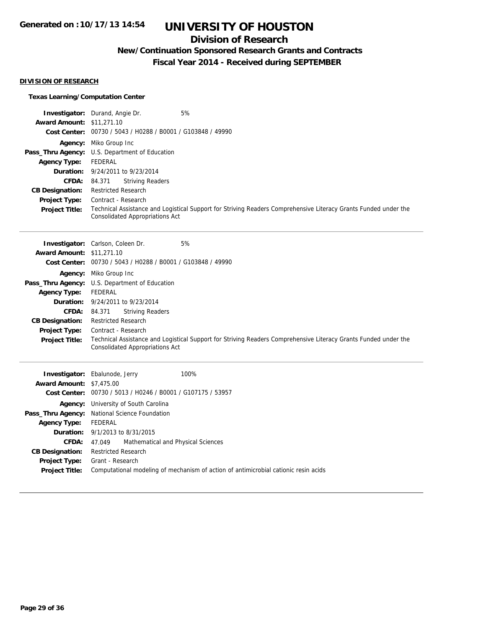## **Division of Research**

## **New/Continuation Sponsored Research Grants and Contracts**

**Fiscal Year 2014 - Received during SEPTEMBER**

#### **DIVISION OF RESEARCH**

### **Texas Learning/Computation Center**

|                                  | <b>Investigator:</b> Durand, Angie Dr.<br>5%                                                                                                              |
|----------------------------------|-----------------------------------------------------------------------------------------------------------------------------------------------------------|
| <b>Award Amount: \$11,271.10</b> |                                                                                                                                                           |
|                                  | Cost Center: 00730 / 5043 / H0288 / B0001 / G103848 / 49990                                                                                               |
|                                  | <b>Agency:</b> Miko Group Inc.                                                                                                                            |
|                                  | <b>Pass_Thru Agency:</b> U.S. Department of Education                                                                                                     |
| Agency Type:                     | FEDERAL                                                                                                                                                   |
|                                  | <b>Duration:</b> 9/24/2011 to 9/23/2014                                                                                                                   |
| <b>CFDA:</b>                     | <b>Striving Readers</b><br>84.371                                                                                                                         |
| <b>CB Designation:</b>           | <b>Restricted Research</b>                                                                                                                                |
| <b>Project Type:</b>             | Contract - Research                                                                                                                                       |
| <b>Project Title:</b>            | Technical Assistance and Logistical Support for Striving Readers Comprehensive Literacy Grants Funded under the<br><b>Consolidated Appropriations Act</b> |

|                                  | 5%<br><b>Investigator:</b> Carlson, Coleen Dr.                                                                                                            |
|----------------------------------|-----------------------------------------------------------------------------------------------------------------------------------------------------------|
| <b>Award Amount: \$11,271.10</b> |                                                                                                                                                           |
|                                  | Cost Center: 00730 / 5043 / H0288 / B0001 / G103848 / 49990                                                                                               |
|                                  | <b>Agency:</b> Miko Group Inc                                                                                                                             |
|                                  | <b>Pass_Thru Agency:</b> U.S. Department of Education                                                                                                     |
| <b>Agency Type:</b>              | FEDERAL                                                                                                                                                   |
|                                  | <b>Duration:</b> 9/24/2011 to 9/23/2014                                                                                                                   |
| <b>CFDA:</b>                     | <b>Striving Readers</b><br>84.371                                                                                                                         |
| <b>CB Designation:</b>           | <b>Restricted Research</b>                                                                                                                                |
| <b>Project Type:</b>             | Contract - Research                                                                                                                                       |
| <b>Project Title:</b>            | Technical Assistance and Logistical Support for Striving Readers Comprehensive Literacy Grants Funded under the<br><b>Consolidated Appropriations Act</b> |

|                                 | <b>Investigator:</b> Ebalunode, Jerry<br>100%                                       |
|---------------------------------|-------------------------------------------------------------------------------------|
| <b>Award Amount: \$7,475.00</b> |                                                                                     |
|                                 | Cost Center: 00730 / 5013 / H0246 / B0001 / G107175 / 53957                         |
|                                 | <b>Agency:</b> University of South Carolina                                         |
|                                 | Pass_Thru Agency: National Science Foundation                                       |
| <b>Agency Type:</b>             | FEDERAL                                                                             |
|                                 | <b>Duration:</b> 9/1/2013 to 8/31/2015                                              |
| <b>CFDA:</b>                    | 47.049 Mathematical and Physical Sciences                                           |
| <b>CB Designation:</b>          | <b>Restricted Research</b>                                                          |
| Project Type:                   | Grant - Research                                                                    |
| <b>Project Title:</b>           | Computational modeling of mechanism of action of antimicrobial cationic resin acids |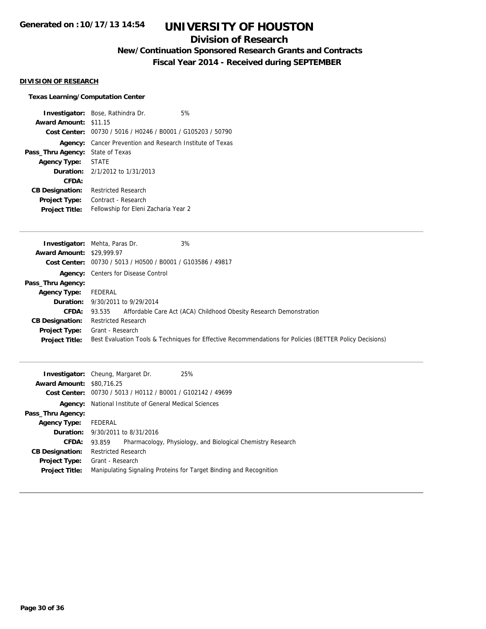## **Division of Research**

## **New/Continuation Sponsored Research Grants and Contracts**

**Fiscal Year 2014 - Received during SEPTEMBER**

#### **DIVISION OF RESEARCH**

#### **Texas Learning/Computation Center**

**Investigator:** Bose, Rathindra Dr. 6% **Award Amount:** \$11.15 **Cost Center:** 00730 / 5016 / H0246 / B0001 / G105203 / 50790 **Agency:** Cancer Prevention and Research Institute of Texas **Pass\_Thru Agency:** State of Texas **Agency Type:** STATE **Duration:** 2/1/2012 to 1/31/2013 **CFDA: CB Designation:** Restricted Research **Project Type:** Contract - Research **Project Title:** Fellowship for Eleni Zacharia Year 2

|                                  | 3%<br><b>Investigator:</b> Mehta, Paras Dr.                                                             |
|----------------------------------|---------------------------------------------------------------------------------------------------------|
| <b>Award Amount: \$29,999.97</b> |                                                                                                         |
|                                  | Cost Center: 00730 / 5013 / H0500 / B0001 / G103586 / 49817                                             |
|                                  | <b>Agency:</b> Centers for Disease Control                                                              |
| Pass_Thru Agency:                |                                                                                                         |
| <b>Agency Type:</b>              | FEDERAL                                                                                                 |
|                                  | <b>Duration:</b> 9/30/2011 to 9/29/2014                                                                 |
| <b>CFDA:</b>                     | Affordable Care Act (ACA) Childhood Obesity Research Demonstration<br>93.535                            |
| <b>CB Designation:</b>           | <b>Restricted Research</b>                                                                              |
| Project Type:                    | Grant - Research                                                                                        |
| <b>Project Title:</b>            | Best Evaluation Tools & Techniques for Effective Recommendations for Policies (BETTER Policy Decisions) |
|                                  |                                                                                                         |

|                                  | 25%<br><b>Investigator:</b> Cheung, Margaret Dr.                      |
|----------------------------------|-----------------------------------------------------------------------|
| <b>Award Amount: \$80,716.25</b> |                                                                       |
|                                  | Cost Center: 00730 / 5013 / H0112 / B0001 / G102142 / 49699           |
|                                  | <b>Agency:</b> National Institute of General Medical Sciences         |
| Pass_Thru Agency:                |                                                                       |
| <b>Agency Type:</b>              | FEDERAL                                                               |
|                                  | <b>Duration:</b> $9/30/2011$ to $8/31/2016$                           |
| <b>CFDA:</b>                     | Pharmacology, Physiology, and Biological Chemistry Research<br>93.859 |
| <b>CB Designation:</b>           | <b>Restricted Research</b>                                            |
|                                  | <b>Project Type:</b> Grant - Research                                 |
| <b>Project Title:</b>            | Manipulating Signaling Proteins for Target Binding and Recognition    |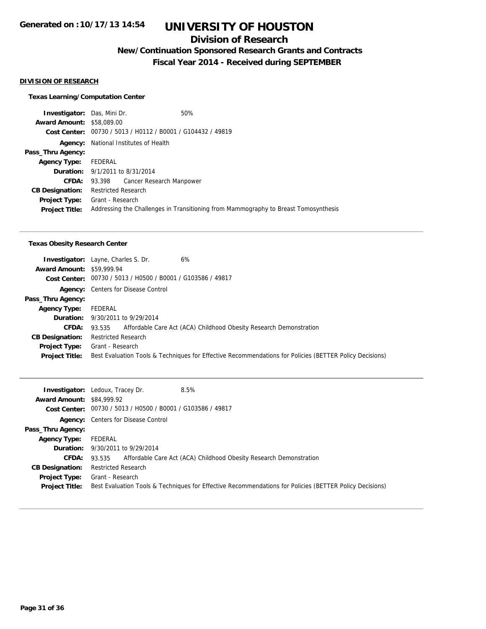### **Division of Research**

**New/Continuation Sponsored Research Grants and Contracts**

**Fiscal Year 2014 - Received during SEPTEMBER**

#### **DIVISION OF RESEARCH**

#### **Texas Learning/Computation Center**

**Investigator:** Das, Mini Dr. 60% **Award Amount:** \$58,089.00 **Cost Center:** 00730 / 5013 / H0112 / B0001 / G104432 / 49819 **Agency:** National Institutes of Health **Pass\_Thru Agency: Agency Type:** FEDERAL **Duration:** 9/1/2011 to 8/31/2014 **CFDA:** 93.398 Cancer Research Manpower **CB Designation:** Restricted Research **Project Type:** Grant - Research **Project Title:** Addressing the Challenges in Transitioning from Mammography to Breast Tomosynthesis

#### **Texas Obesity Research Center**

|                                  | 6%<br><b>Investigator:</b> Layne, Charles S. Dr.                                                        |
|----------------------------------|---------------------------------------------------------------------------------------------------------|
| <b>Award Amount: \$59,999.94</b> |                                                                                                         |
|                                  | Cost Center: 00730 / 5013 / H0500 / B0001 / G103586 / 49817                                             |
|                                  | <b>Agency:</b> Centers for Disease Control                                                              |
| Pass_Thru Agency:                |                                                                                                         |
| <b>Agency Type:</b>              | FEDERAL                                                                                                 |
|                                  | <b>Duration:</b> 9/30/2011 to 9/29/2014                                                                 |
| <b>CFDA:</b>                     | 93.535 Affordable Care Act (ACA) Childhood Obesity Research Demonstration                               |
| <b>CB Designation:</b>           | <b>Restricted Research</b>                                                                              |
| Project Type:                    | Grant - Research                                                                                        |
| <b>Project Title:</b>            | Best Evaluation Tools & Techniques for Effective Recommendations for Policies (BETTER Policy Decisions) |

|                                  | 8.5%<br><b>Investigator:</b> Ledoux, Tracey Dr.                                                         |
|----------------------------------|---------------------------------------------------------------------------------------------------------|
| <b>Award Amount: \$84,999.92</b> |                                                                                                         |
|                                  | Cost Center: 00730 / 5013 / H0500 / B0001 / G103586 / 49817                                             |
|                                  | <b>Agency:</b> Centers for Disease Control                                                              |
| Pass_Thru Agency:                |                                                                                                         |
| <b>Agency Type:</b>              | FEDERAL                                                                                                 |
|                                  | <b>Duration:</b> 9/30/2011 to 9/29/2014                                                                 |
| <b>CFDA:</b>                     | Affordable Care Act (ACA) Childhood Obesity Research Demonstration<br>93.535                            |
| <b>CB Designation:</b>           | <b>Restricted Research</b>                                                                              |
| Project Type:                    | Grant - Research                                                                                        |
| <b>Project Title:</b>            | Best Evaluation Tools & Techniques for Effective Recommendations for Policies (BETTER Policy Decisions) |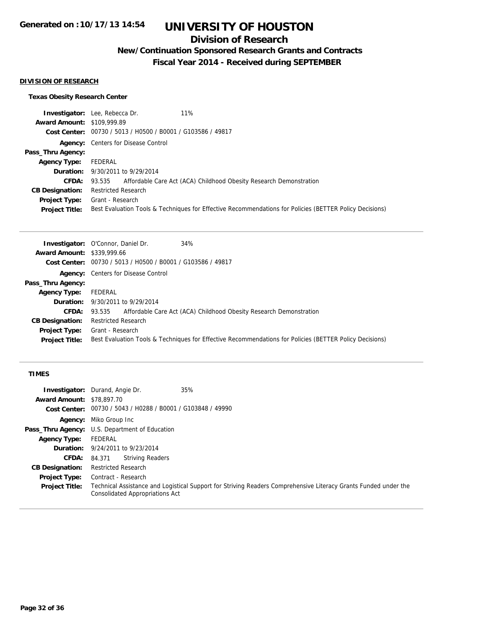## **Division of Research**

**New/Continuation Sponsored Research Grants and Contracts**

**Fiscal Year 2014 - Received during SEPTEMBER**

### **DIVISION OF RESEARCH**

### **Texas Obesity Research Center**

|                                   | <b>Investigator:</b> Lee, Rebecca Dr.<br>11%                                                            |
|-----------------------------------|---------------------------------------------------------------------------------------------------------|
| <b>Award Amount: \$109,999.89</b> |                                                                                                         |
|                                   | Cost Center: 00730 / 5013 / H0500 / B0001 / G103586 / 49817                                             |
|                                   | <b>Agency:</b> Centers for Disease Control                                                              |
| Pass_Thru Agency:                 |                                                                                                         |
| <b>Agency Type:</b>               | FEDERAL                                                                                                 |
|                                   | <b>Duration:</b> 9/30/2011 to 9/29/2014                                                                 |
|                                   | <b>CFDA:</b> 93.535 Affordable Care Act (ACA) Childhood Obesity Research Demonstration                  |
| <b>CB Designation:</b>            | <b>Restricted Research</b>                                                                              |
| <b>Project Type:</b>              | Grant - Research                                                                                        |
| <b>Project Title:</b>             | Best Evaluation Tools & Techniques for Effective Recommendations for Policies (BETTER Policy Decisions) |

| <b>Investigator:</b> O'Connor, Daniel Dr.<br>34%                                                        |
|---------------------------------------------------------------------------------------------------------|
| <b>Award Amount: \$339,999.66</b>                                                                       |
| Cost Center: 00730 / 5013 / H0500 / B0001 / G103586 / 49817                                             |
| <b>Agency:</b> Centers for Disease Control                                                              |
|                                                                                                         |
| FEDERAL                                                                                                 |
| <b>Duration:</b> 9/30/2011 to 9/29/2014                                                                 |
| 93.535 Affordable Care Act (ACA) Childhood Obesity Research Demonstration                               |
| <b>Restricted Research</b>                                                                              |
| Grant - Research                                                                                        |
| Best Evaluation Tools & Techniques for Effective Recommendations for Policies (BETTER Policy Decisions) |
|                                                                                                         |

### **TIMES**

| <b>Investigator:</b> Durand, Angie Dr. |                                                                                                                                                    |                  | 35% |
|----------------------------------------|----------------------------------------------------------------------------------------------------------------------------------------------------|------------------|-----|
| <b>Award Amount: \$78,897.70</b>       |                                                                                                                                                    |                  |     |
|                                        | Cost Center: 00730 / 5043 / H0288 / B0001 / G103848 / 49990                                                                                        |                  |     |
|                                        | <b>Agency:</b> Miko Group Inc                                                                                                                      |                  |     |
|                                        | <b>Pass_Thru Agency:</b> U.S. Department of Education                                                                                              |                  |     |
| <b>Agency Type:</b>                    | FEDERAL                                                                                                                                            |                  |     |
|                                        | <b>Duration:</b> 9/24/2011 to 9/23/2014                                                                                                            |                  |     |
| <b>CFDA:</b>                           | 84.371                                                                                                                                             | Striving Readers |     |
| <b>CB Designation:</b>                 | <b>Restricted Research</b>                                                                                                                         |                  |     |
| <b>Project Type:</b>                   | Contract - Research                                                                                                                                |                  |     |
| <b>Project Title:</b>                  | Technical Assistance and Logistical Support for Striving Readers Comprehensive Literacy Grants Funded under the<br>Consolidated Appropriations Act |                  |     |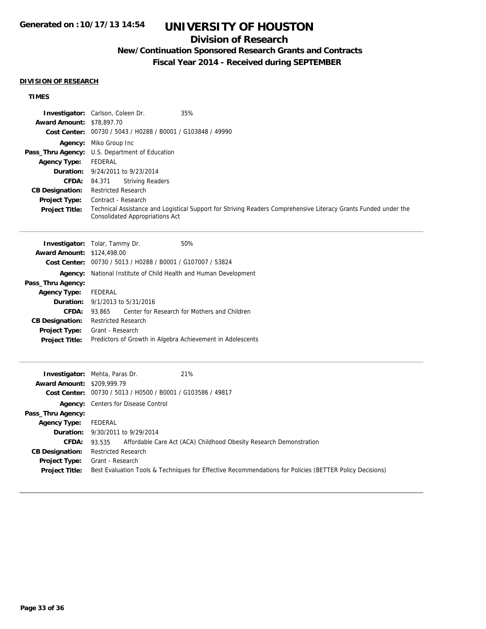## **Division of Research**

## **New/Continuation Sponsored Research Grants and Contracts**

**Fiscal Year 2014 - Received during SEPTEMBER**

#### **DIVISION OF RESEARCH**

### **TIMES**

| Investigator: Carlson, Coleen Dr.<br>35%<br>Award Amount: \$78,897.70<br>Cost Center: 00730 / 5043 / H0288 / B0001 / G103848 / 49990                                                                                                                                                                                                                                           |  |  |
|--------------------------------------------------------------------------------------------------------------------------------------------------------------------------------------------------------------------------------------------------------------------------------------------------------------------------------------------------------------------------------|--|--|
| Agency: Miko Group Inc<br>Pass_Thru Agency:<br>U.S. Department of Education<br><b>FEDERAL</b><br>9/24/2011 to 9/23/2014<br>84.371<br><b>Striving Readers</b><br><b>Restricted Research</b><br>Contract - Research<br>Technical Assistance and Logistical Support for Striving Readers Comprehensive Literacy Grants Funded under the<br><b>Consolidated Appropriations Act</b> |  |  |
| <b>Investigator:</b> Tolar, Tammy Dr.<br>50%<br><b>Award Amount: \$124,498.00</b>                                                                                                                                                                                                                                                                                              |  |  |
| Cost Center: 00730 / 5013 / H0288 / B0001 / G107007 / 53824                                                                                                                                                                                                                                                                                                                    |  |  |
| Agency:<br>National Institute of Child Health and Human Development                                                                                                                                                                                                                                                                                                            |  |  |
|                                                                                                                                                                                                                                                                                                                                                                                |  |  |
|                                                                                                                                                                                                                                                                                                                                                                                |  |  |
| <b>FEDERAL</b>                                                                                                                                                                                                                                                                                                                                                                 |  |  |
| 9/1/2013 to 5/31/2016                                                                                                                                                                                                                                                                                                                                                          |  |  |
| 93.865<br>Center for Research for Mothers and Children                                                                                                                                                                                                                                                                                                                         |  |  |
| <b>Restricted Research</b>                                                                                                                                                                                                                                                                                                                                                     |  |  |
| Grant - Research                                                                                                                                                                                                                                                                                                                                                               |  |  |
| Predictors of Growth in Algebra Achievement in Adolescents                                                                                                                                                                                                                                                                                                                     |  |  |
| 21%<br><b>Investigator:</b> Mehta, Paras Dr.                                                                                                                                                                                                                                                                                                                                   |  |  |
| <b>Award Amount: \$209,999.79</b>                                                                                                                                                                                                                                                                                                                                              |  |  |
| Cost Center: 00730 / 5013 / H0500 / B0001 / G103586 / 49817                                                                                                                                                                                                                                                                                                                    |  |  |
| Agency: Centers for Disease Control                                                                                                                                                                                                                                                                                                                                            |  |  |
|                                                                                                                                                                                                                                                                                                                                                                                |  |  |
| <b>FEDERAL</b>                                                                                                                                                                                                                                                                                                                                                                 |  |  |
| 9/30/2011 to 9/29/2014                                                                                                                                                                                                                                                                                                                                                         |  |  |
| Affordable Care Act (ACA) Childhood Obesity Research Demonstration<br>93.535                                                                                                                                                                                                                                                                                                   |  |  |
| <b>Restricted Research</b><br>Grant - Research                                                                                                                                                                                                                                                                                                                                 |  |  |
|                                                                                                                                                                                                                                                                                                                                                                                |  |  |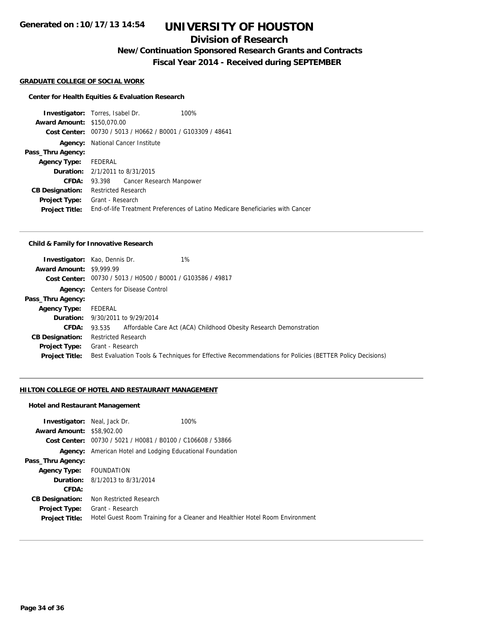## **Division of Research**

**New/Continuation Sponsored Research Grants and Contracts**

**Fiscal Year 2014 - Received during SEPTEMBER**

#### **GRADUATE COLLEGE OF SOCIAL WORK**

#### **Center for Health Equities & Evaluation Research**

**Investigator:** Torres, Isabel Dr. 100% **Award Amount:** \$150,070.00 **Cost Center:** 00730 / 5013 / H0662 / B0001 / G103309 / 48641 **Agency:** National Cancer Institute **Pass\_Thru Agency: Agency Type:** FEDERAL **Duration:** 2/1/2011 to 8/31/2015 **CFDA:** 93.398 Cancer Research Manpower **CB Designation:** Restricted Research **Project Type:** Grant - Research **Project Title:** End-of-life Treatment Preferences of Latino Medicare Beneficiaries with Cancer

#### **Child & Family for Innovative Research**

| $1\%$<br><b>Investigator:</b> Kao, Dennis Dr. |                                                                                                         |
|-----------------------------------------------|---------------------------------------------------------------------------------------------------------|
| <b>Award Amount: \$9,999.99</b>               |                                                                                                         |
|                                               |                                                                                                         |
| <b>Agency:</b> Centers for Disease Control    |                                                                                                         |
|                                               |                                                                                                         |
| FEDERAL                                       |                                                                                                         |
| <b>Duration:</b> 9/30/2011 to 9/29/2014       |                                                                                                         |
|                                               | 93.535 Affordable Care Act (ACA) Childhood Obesity Research Demonstration                               |
| <b>Restricted Research</b>                    |                                                                                                         |
| Grant - Research                              |                                                                                                         |
|                                               | Best Evaluation Tools & Techniques for Effective Recommendations for Policies (BETTER Policy Decisions) |
|                                               | Cost Center: 00730 / 5013 / H0500 / B0001 / G103586 / 49817                                             |

#### **HILTON COLLEGE OF HOTEL AND RESTAURANT MANAGEMENT**

#### **Hotel and Restaurant Management**

| <b>Investigator:</b> Neal, Jack Dr. |                                                             | 100%                                                                         |
|-------------------------------------|-------------------------------------------------------------|------------------------------------------------------------------------------|
| <b>Award Amount: \$58,902.00</b>    |                                                             |                                                                              |
|                                     | Cost Center: 00730 / 5021 / H0081 / B0100 / C106608 / 53866 |                                                                              |
| Agency:                             | American Hotel and Lodging Educational Foundation           |                                                                              |
| Pass_Thru Agency:                   |                                                             |                                                                              |
| Agency Type: FOUNDATION             |                                                             |                                                                              |
|                                     | <b>Duration:</b> 8/1/2013 to 8/31/2014                      |                                                                              |
| CFDA:                               |                                                             |                                                                              |
| <b>CB Designation:</b>              | Non Restricted Research                                     |                                                                              |
| <b>Project Type:</b>                | Grant - Research                                            |                                                                              |
| <b>Project Title:</b>               |                                                             | Hotel Guest Room Training for a Cleaner and Healthier Hotel Room Environment |
|                                     |                                                             |                                                                              |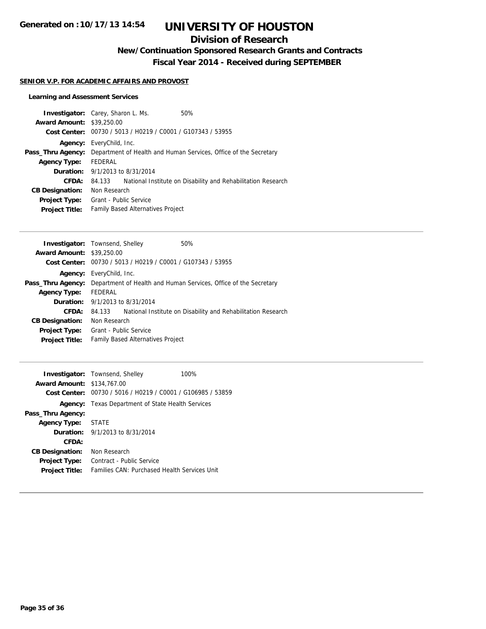## **Division of Research**

**New/Continuation Sponsored Research Grants and Contracts**

**Fiscal Year 2014 - Received during SEPTEMBER**

### **SENIOR V.P. FOR ACADEMIC AFFAIRS AND PROVOST**

### **Learning and Assessment Services**

|                                  | <b>Investigator:</b> Carey, Sharon L. Ms. | 50%                                                              |
|----------------------------------|-------------------------------------------|------------------------------------------------------------------|
| <b>Award Amount: \$39,250.00</b> |                                           |                                                                  |
|                                  |                                           | Cost Center: 00730 / 5013 / H0219 / C0001 / G107343 / 53955      |
|                                  | <b>Agency:</b> EveryChild, Inc.           |                                                                  |
| Pass_Thru Agency:                |                                           | Department of Health and Human Services, Office of the Secretary |
| <b>Agency Type:</b>              | FEDERAL                                   |                                                                  |
|                                  | <b>Duration:</b> 9/1/2013 to 8/31/2014    |                                                                  |
| CFDA:                            | 84.133                                    | National Institute on Disability and Rehabilitation Research     |
| <b>CB Designation:</b>           | Non Research                              |                                                                  |
| <b>Project Type:</b>             | Grant - Public Service                    |                                                                  |
| <b>Project Title:</b>            | <b>Family Based Alternatives Project</b>  |                                                                  |
|                                  |                                           |                                                                  |

|                   | 50%                                                                                                                                                                                                                                                                                                                 |
|-------------------|---------------------------------------------------------------------------------------------------------------------------------------------------------------------------------------------------------------------------------------------------------------------------------------------------------------------|
|                   |                                                                                                                                                                                                                                                                                                                     |
|                   |                                                                                                                                                                                                                                                                                                                     |
|                   |                                                                                                                                                                                                                                                                                                                     |
| Pass_Thru Agency: | Department of Health and Human Services, Office of the Secretary                                                                                                                                                                                                                                                    |
| FEDERAL           |                                                                                                                                                                                                                                                                                                                     |
|                   |                                                                                                                                                                                                                                                                                                                     |
| 84.133            | National Institute on Disability and Rehabilitation Research                                                                                                                                                                                                                                                        |
|                   |                                                                                                                                                                                                                                                                                                                     |
|                   |                                                                                                                                                                                                                                                                                                                     |
|                   |                                                                                                                                                                                                                                                                                                                     |
|                   | <b>Investigator:</b> Townsend, Shelley<br><b>Award Amount: \$39,250.00</b><br>Cost Center: 00730 / 5013 / H0219 / C0001 / G107343 / 53955<br><b>Agency:</b> EveryChild, Inc.<br><b>Duration:</b> 9/1/2013 to 8/31/2014<br>Non Research<br><b>Grant - Public Service</b><br><b>Family Based Alternatives Project</b> |

| <b>Award Amount: \$134,767.00</b> | <b>Investigator:</b> Townsend, Shelley<br>Cost Center: 00730 / 5016 / H0219 / C0001 / G106985 / 53859 | 100% |
|-----------------------------------|-------------------------------------------------------------------------------------------------------|------|
|                                   | <b>Agency:</b> Texas Department of State Health Services                                              |      |
| Pass_Thru Agency:                 |                                                                                                       |      |
| <b>Agency Type:</b>               | <b>STATE</b>                                                                                          |      |
|                                   | <b>Duration:</b> $9/1/2013$ to $8/31/2014$                                                            |      |
| CFDA:                             |                                                                                                       |      |
| <b>CB Designation:</b>            | Non Research                                                                                          |      |
| <b>Project Type:</b>              | Contract - Public Service                                                                             |      |
| <b>Project Title:</b>             | <b>Families CAN: Purchased Health Services Unit</b>                                                   |      |